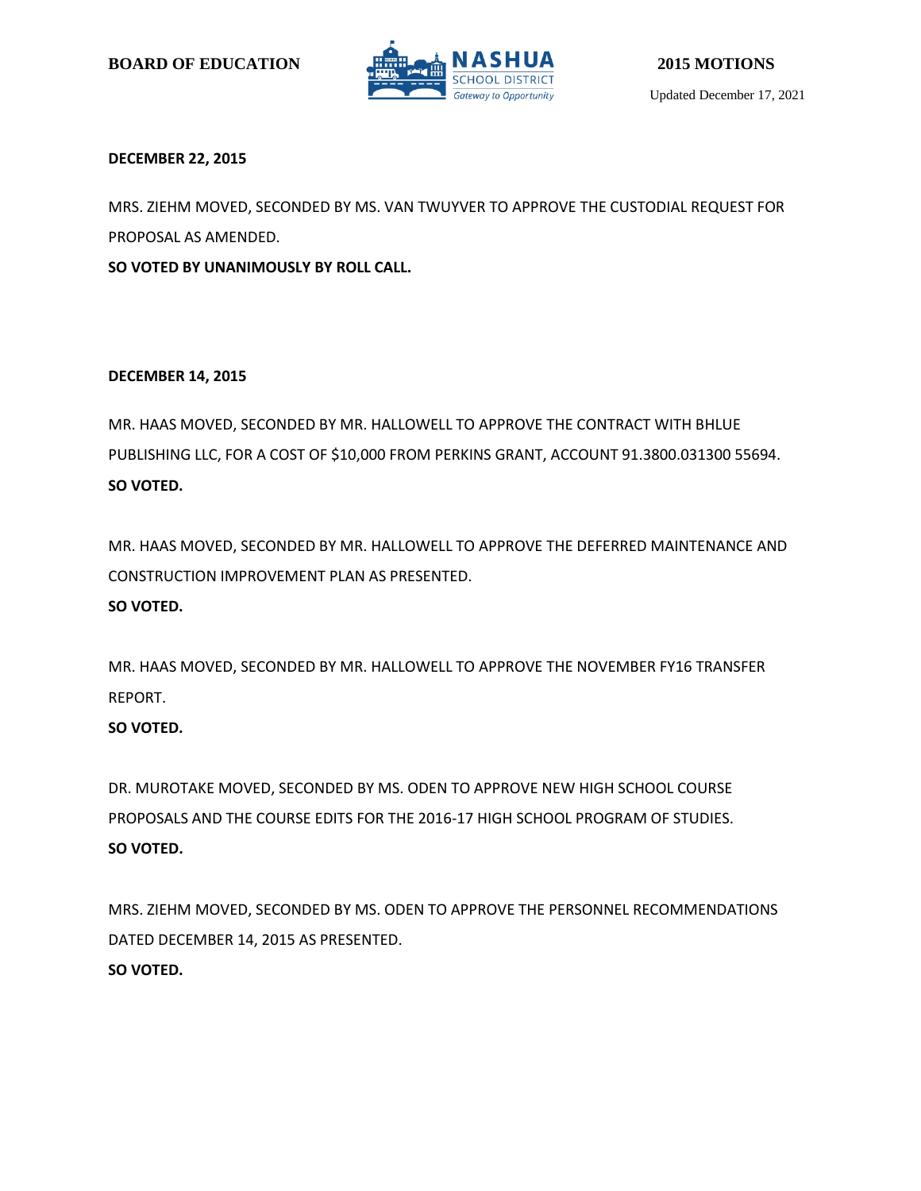

## **DECEMBER 22, 2015**

MRS. ZIEHM MOVED, SECONDED BY MS. VAN TWUYVER TO APPROVE THE CUSTODIAL REQUEST FOR PROPOSAL AS AMENDED.

**SO VOTED BY UNANIMOUSLY BY ROLL CALL.**

## **DECEMBER 14, 2015**

MR. HAAS MOVED, SECONDED BY MR. HALLOWELL TO APPROVE THE CONTRACT WITH BHLUE PUBLISHING LLC, FOR A COST OF \$10,000 FROM PERKINS GRANT, ACCOUNT 91.3800.031300 55694. **SO VOTED.**

MR. HAAS MOVED, SECONDED BY MR. HALLOWELL TO APPROVE THE DEFERRED MAINTENANCE AND CONSTRUCTION IMPROVEMENT PLAN AS PRESENTED.

## **SO VOTED.**

MR. HAAS MOVED, SECONDED BY MR. HALLOWELL TO APPROVE THE NOVEMBER FY16 TRANSFER REPORT.

## **SO VOTED.**

DR. MUROTAKE MOVED, SECONDED BY MS. ODEN TO APPROVE NEW HIGH SCHOOL COURSE PROPOSALS AND THE COURSE EDITS FOR THE 2016-17 HIGH SCHOOL PROGRAM OF STUDIES. **SO VOTED.**

MRS. ZIEHM MOVED, SECONDED BY MS. ODEN TO APPROVE THE PERSONNEL RECOMMENDATIONS DATED DECEMBER 14, 2015 AS PRESENTED. **SO VOTED.**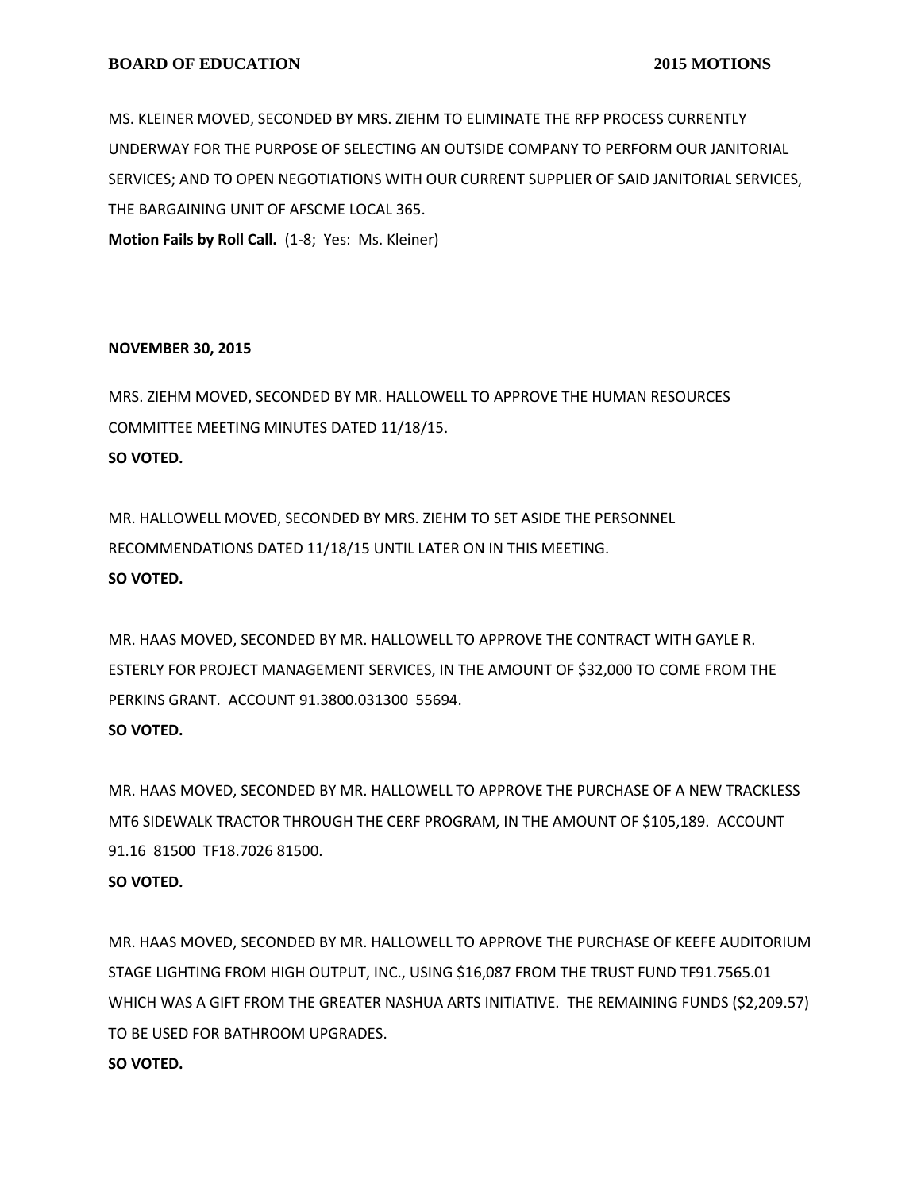MS. KLEINER MOVED, SECONDED BY MRS. ZIEHM TO ELIMINATE THE RFP PROCESS CURRENTLY UNDERWAY FOR THE PURPOSE OF SELECTING AN OUTSIDE COMPANY TO PERFORM OUR JANITORIAL SERVICES; AND TO OPEN NEGOTIATIONS WITH OUR CURRENT SUPPLIER OF SAID JANITORIAL SERVICES, THE BARGAINING UNIT OF AFSCME LOCAL 365.

**Motion Fails by Roll Call.** (1-8; Yes: Ms. Kleiner)

## **NOVEMBER 30, 2015**

MRS. ZIEHM MOVED, SECONDED BY MR. HALLOWELL TO APPROVE THE HUMAN RESOURCES COMMITTEE MEETING MINUTES DATED 11/18/15. **SO VOTED.**

MR. HALLOWELL MOVED, SECONDED BY MRS. ZIEHM TO SET ASIDE THE PERSONNEL RECOMMENDATIONS DATED 11/18/15 UNTIL LATER ON IN THIS MEETING. **SO VOTED.**

MR. HAAS MOVED, SECONDED BY MR. HALLOWELL TO APPROVE THE CONTRACT WITH GAYLE R. ESTERLY FOR PROJECT MANAGEMENT SERVICES, IN THE AMOUNT OF \$32,000 TO COME FROM THE PERKINS GRANT. ACCOUNT 91.3800.031300 55694. **SO VOTED.**

MR. HAAS MOVED, SECONDED BY MR. HALLOWELL TO APPROVE THE PURCHASE OF A NEW TRACKLESS MT6 SIDEWALK TRACTOR THROUGH THE CERF PROGRAM, IN THE AMOUNT OF \$105,189. ACCOUNT 91.16 81500 TF18.7026 81500.

**SO VOTED.**

MR. HAAS MOVED, SECONDED BY MR. HALLOWELL TO APPROVE THE PURCHASE OF KEEFE AUDITORIUM STAGE LIGHTING FROM HIGH OUTPUT, INC., USING \$16,087 FROM THE TRUST FUND TF91.7565.01 WHICH WAS A GIFT FROM THE GREATER NASHUA ARTS INITIATIVE. THE REMAINING FUNDS (\$2,209.57) TO BE USED FOR BATHROOM UPGRADES. **SO VOTED.**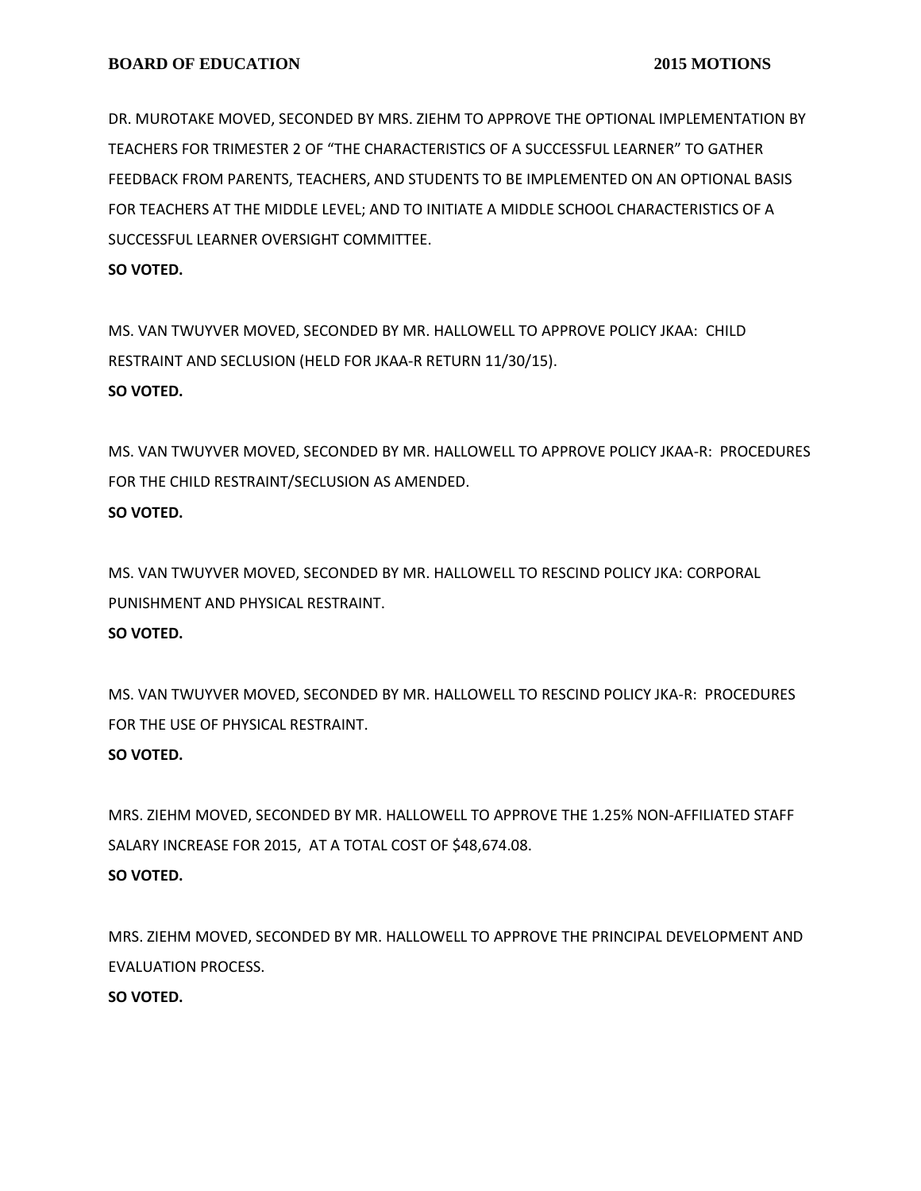DR. MUROTAKE MOVED, SECONDED BY MRS. ZIEHM TO APPROVE THE OPTIONAL IMPLEMENTATION BY TEACHERS FOR TRIMESTER 2 OF "THE CHARACTERISTICS OF A SUCCESSFUL LEARNER" TO GATHER FEEDBACK FROM PARENTS, TEACHERS, AND STUDENTS TO BE IMPLEMENTED ON AN OPTIONAL BASIS FOR TEACHERS AT THE MIDDLE LEVEL; AND TO INITIATE A MIDDLE SCHOOL CHARACTERISTICS OF A SUCCESSFUL LEARNER OVERSIGHT COMMITTEE.

#### **SO VOTED.**

MS. VAN TWUYVER MOVED, SECONDED BY MR. HALLOWELL TO APPROVE POLICY JKAA: CHILD RESTRAINT AND SECLUSION (HELD FOR JKAA-R RETURN 11/30/15). **SO VOTED.**

MS. VAN TWUYVER MOVED, SECONDED BY MR. HALLOWELL TO APPROVE POLICY JKAA-R: PROCEDURES FOR THE CHILD RESTRAINT/SECLUSION AS AMENDED.

## **SO VOTED.**

MS. VAN TWUYVER MOVED, SECONDED BY MR. HALLOWELL TO RESCIND POLICY JKA: CORPORAL PUNISHMENT AND PHYSICAL RESTRAINT. **SO VOTED.**

MS. VAN TWUYVER MOVED, SECONDED BY MR. HALLOWELL TO RESCIND POLICY JKA-R: PROCEDURES FOR THE USE OF PHYSICAL RESTRAINT. **SO VOTED.**

MRS. ZIEHM MOVED, SECONDED BY MR. HALLOWELL TO APPROVE THE 1.25% NON-AFFILIATED STAFF SALARY INCREASE FOR 2015, AT A TOTAL COST OF \$48,674.08. **SO VOTED.**

MRS. ZIEHM MOVED, SECONDED BY MR. HALLOWELL TO APPROVE THE PRINCIPAL DEVELOPMENT AND EVALUATION PROCESS.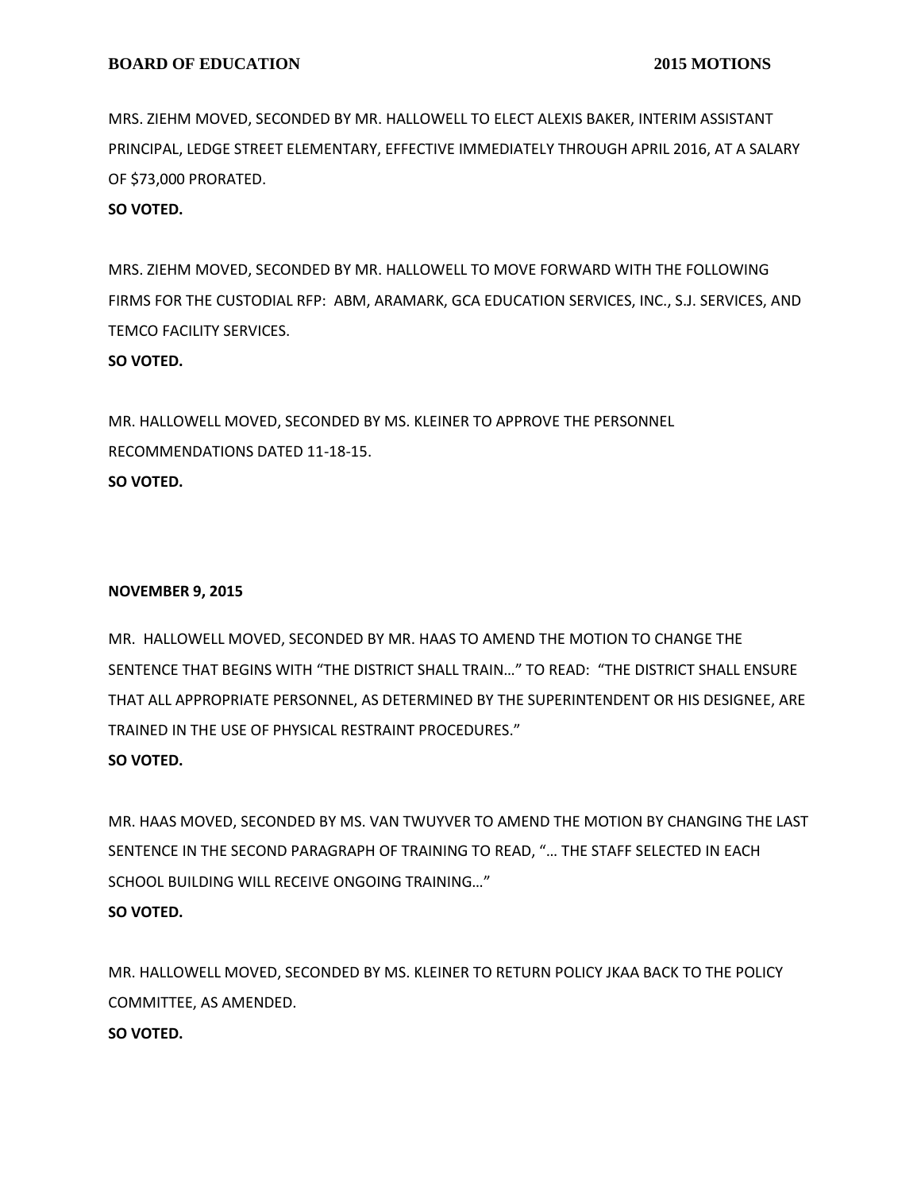MRS. ZIEHM MOVED, SECONDED BY MR. HALLOWELL TO ELECT ALEXIS BAKER, INTERIM ASSISTANT PRINCIPAL, LEDGE STREET ELEMENTARY, EFFECTIVE IMMEDIATELY THROUGH APRIL 2016, AT A SALARY OF \$73,000 PRORATED.

## **SO VOTED.**

MRS. ZIEHM MOVED, SECONDED BY MR. HALLOWELL TO MOVE FORWARD WITH THE FOLLOWING FIRMS FOR THE CUSTODIAL RFP: ABM, ARAMARK, GCA EDUCATION SERVICES, INC., S.J. SERVICES, AND TEMCO FACILITY SERVICES. **SO VOTED.**

MR. HALLOWELL MOVED, SECONDED BY MS. KLEINER TO APPROVE THE PERSONNEL RECOMMENDATIONS DATED 11-18-15. **SO VOTED.**

#### **NOVEMBER 9, 2015**

MR. HALLOWELL MOVED, SECONDED BY MR. HAAS TO AMEND THE MOTION TO CHANGE THE SENTENCE THAT BEGINS WITH "THE DISTRICT SHALL TRAIN…" TO READ: "THE DISTRICT SHALL ENSURE THAT ALL APPROPRIATE PERSONNEL, AS DETERMINED BY THE SUPERINTENDENT OR HIS DESIGNEE, ARE TRAINED IN THE USE OF PHYSICAL RESTRAINT PROCEDURES." **SO VOTED.**

MR. HAAS MOVED, SECONDED BY MS. VAN TWUYVER TO AMEND THE MOTION BY CHANGING THE LAST SENTENCE IN THE SECOND PARAGRAPH OF TRAINING TO READ, "… THE STAFF SELECTED IN EACH SCHOOL BUILDING WILL RECEIVE ONGOING TRAINING…" **SO VOTED.**

MR. HALLOWELL MOVED, SECONDED BY MS. KLEINER TO RETURN POLICY JKAA BACK TO THE POLICY COMMITTEE, AS AMENDED.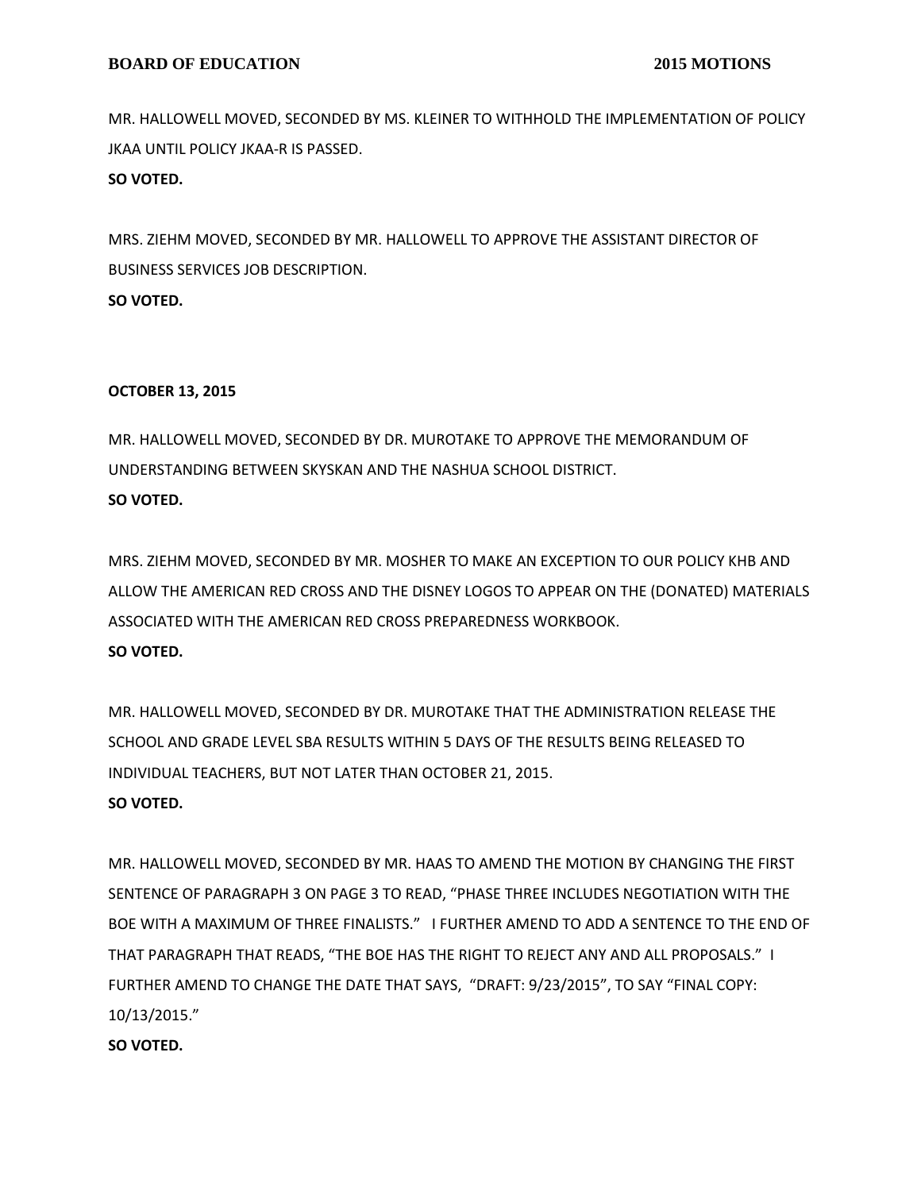MR. HALLOWELL MOVED, SECONDED BY MS. KLEINER TO WITHHOLD THE IMPLEMENTATION OF POLICY JKAA UNTIL POLICY JKAA-R IS PASSED. **SO VOTED.**

MRS. ZIEHM MOVED, SECONDED BY MR. HALLOWELL TO APPROVE THE ASSISTANT DIRECTOR OF BUSINESS SERVICES JOB DESCRIPTION. **SO VOTED.**

#### **OCTOBER 13, 2015**

MR. HALLOWELL MOVED, SECONDED BY DR. MUROTAKE TO APPROVE THE MEMORANDUM OF UNDERSTANDING BETWEEN SKYSKAN AND THE NASHUA SCHOOL DISTRICT. **SO VOTED.**

MRS. ZIEHM MOVED, SECONDED BY MR. MOSHER TO MAKE AN EXCEPTION TO OUR POLICY KHB AND ALLOW THE AMERICAN RED CROSS AND THE DISNEY LOGOS TO APPEAR ON THE (DONATED) MATERIALS ASSOCIATED WITH THE AMERICAN RED CROSS PREPAREDNESS WORKBOOK. **SO VOTED.**

MR. HALLOWELL MOVED, SECONDED BY DR. MUROTAKE THAT THE ADMINISTRATION RELEASE THE SCHOOL AND GRADE LEVEL SBA RESULTS WITHIN 5 DAYS OF THE RESULTS BEING RELEASED TO INDIVIDUAL TEACHERS, BUT NOT LATER THAN OCTOBER 21, 2015.

# **SO VOTED.**

MR. HALLOWELL MOVED, SECONDED BY MR. HAAS TO AMEND THE MOTION BY CHANGING THE FIRST SENTENCE OF PARAGRAPH 3 ON PAGE 3 TO READ, "PHASE THREE INCLUDES NEGOTIATION WITH THE BOE WITH A MAXIMUM OF THREE FINALISTS." I FURTHER AMEND TO ADD A SENTENCE TO THE END OF THAT PARAGRAPH THAT READS, "THE BOE HAS THE RIGHT TO REJECT ANY AND ALL PROPOSALS." I FURTHER AMEND TO CHANGE THE DATE THAT SAYS, "DRAFT: 9/23/2015", TO SAY "FINAL COPY: 10/13/2015."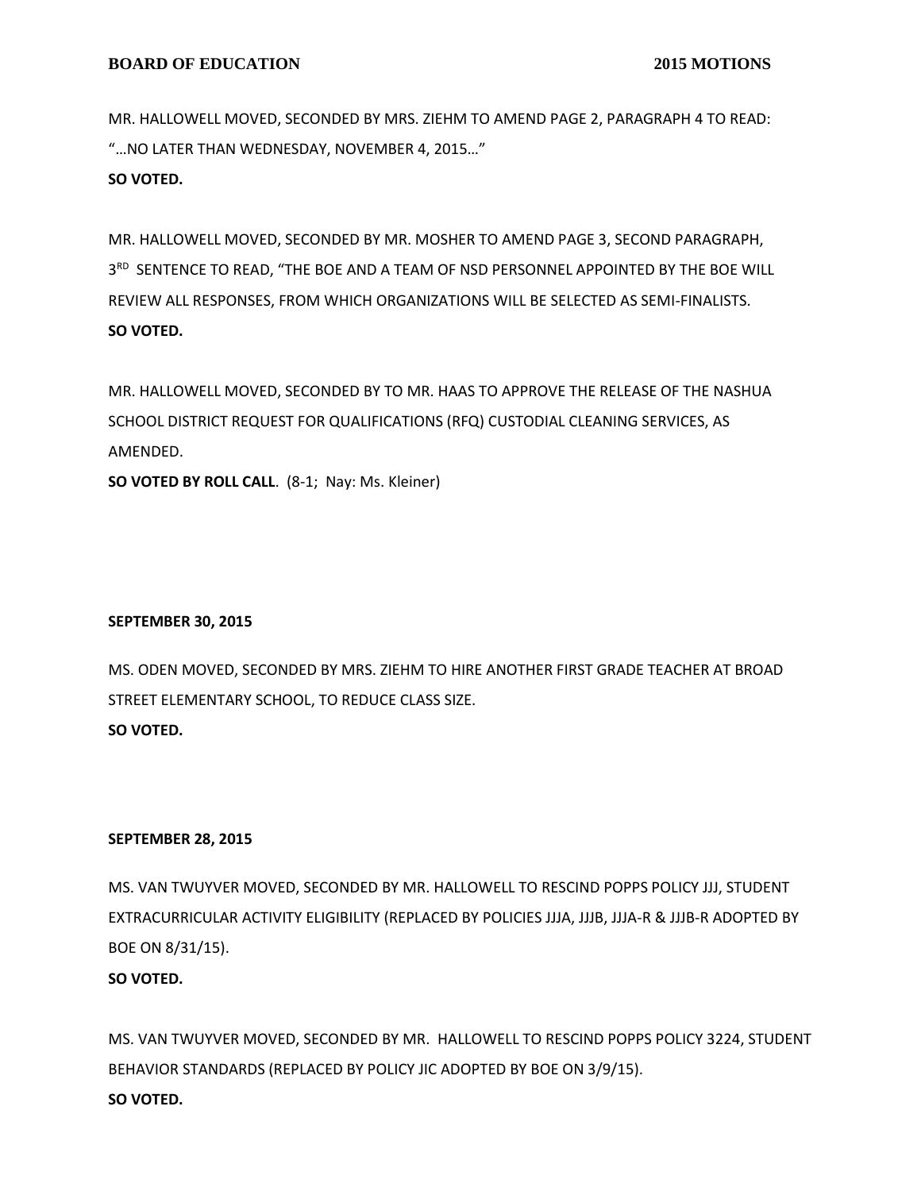MR. HALLOWELL MOVED, SECONDED BY MRS. ZIEHM TO AMEND PAGE 2, PARAGRAPH 4 TO READ: "…NO LATER THAN WEDNESDAY, NOVEMBER 4, 2015…"

**SO VOTED.**

MR. HALLOWELL MOVED, SECONDED BY MR. MOSHER TO AMEND PAGE 3, SECOND PARAGRAPH, 3<sup>RD</sup> SENTENCE TO READ, "THE BOE AND A TEAM OF NSD PERSONNEL APPOINTED BY THE BOE WILL REVIEW ALL RESPONSES, FROM WHICH ORGANIZATIONS WILL BE SELECTED AS SEMI-FINALISTS. **SO VOTED.**

MR. HALLOWELL MOVED, SECONDED BY TO MR. HAAS TO APPROVE THE RELEASE OF THE NASHUA SCHOOL DISTRICT REQUEST FOR QUALIFICATIONS (RFQ) CUSTODIAL CLEANING SERVICES, AS AMENDED.

**SO VOTED BY ROLL CALL**. (8-1; Nay: Ms. Kleiner)

## **SEPTEMBER 30, 2015**

MS. ODEN MOVED, SECONDED BY MRS. ZIEHM TO HIRE ANOTHER FIRST GRADE TEACHER AT BROAD STREET ELEMENTARY SCHOOL, TO REDUCE CLASS SIZE. **SO VOTED.**

## **SEPTEMBER 28, 2015**

MS. VAN TWUYVER MOVED, SECONDED BY MR. HALLOWELL TO RESCIND POPPS POLICY JJJ, STUDENT EXTRACURRICULAR ACTIVITY ELIGIBILITY (REPLACED BY POLICIES JJJA, JJJB, JJJA-R & JJJB-R ADOPTED BY BOE ON 8/31/15).

# **SO VOTED.**

MS. VAN TWUYVER MOVED, SECONDED BY MR. HALLOWELL TO RESCIND POPPS POLICY 3224, STUDENT BEHAVIOR STANDARDS (REPLACED BY POLICY JIC ADOPTED BY BOE ON 3/9/15). **SO VOTED.**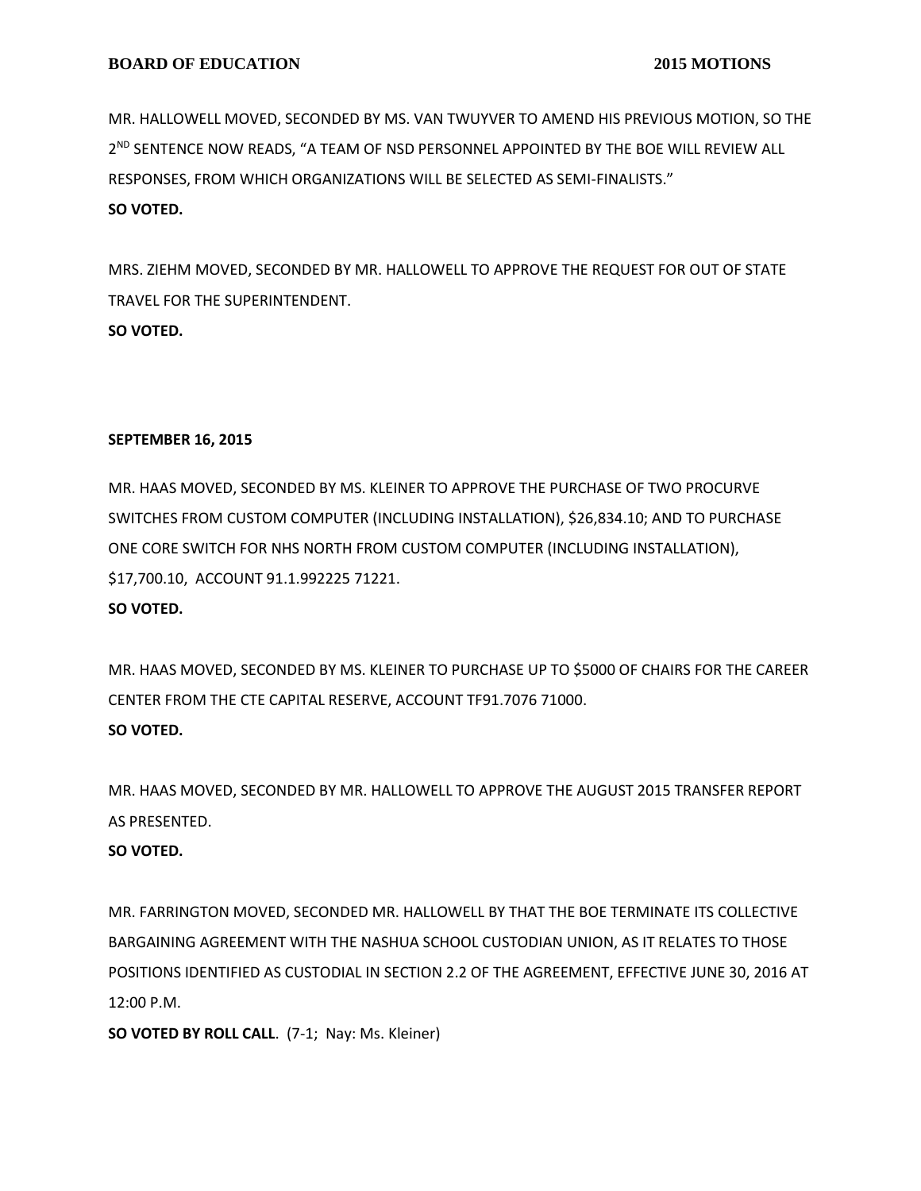MR. HALLOWELL MOVED, SECONDED BY MS. VAN TWUYVER TO AMEND HIS PREVIOUS MOTION, SO THE 2 ND SENTENCE NOW READS, "A TEAM OF NSD PERSONNEL APPOINTED BY THE BOE WILL REVIEW ALL RESPONSES, FROM WHICH ORGANIZATIONS WILL BE SELECTED AS SEMI-FINALISTS." **SO VOTED.**

MRS. ZIEHM MOVED, SECONDED BY MR. HALLOWELL TO APPROVE THE REQUEST FOR OUT OF STATE TRAVEL FOR THE SUPERINTENDENT. **SO VOTED.**

## **SEPTEMBER 16, 2015**

MR. HAAS MOVED, SECONDED BY MS. KLEINER TO APPROVE THE PURCHASE OF TWO PROCURVE SWITCHES FROM CUSTOM COMPUTER (INCLUDING INSTALLATION), \$26,834.10; AND TO PURCHASE ONE CORE SWITCH FOR NHS NORTH FROM CUSTOM COMPUTER (INCLUDING INSTALLATION), \$17,700.10, ACCOUNT 91.1.992225 71221. **SO VOTED.**

MR. HAAS MOVED, SECONDED BY MS. KLEINER TO PURCHASE UP TO \$5000 OF CHAIRS FOR THE CAREER CENTER FROM THE CTE CAPITAL RESERVE, ACCOUNT TF91.7076 71000. **SO VOTED.**

MR. HAAS MOVED, SECONDED BY MR. HALLOWELL TO APPROVE THE AUGUST 2015 TRANSFER REPORT AS PRESENTED.

## **SO VOTED.**

MR. FARRINGTON MOVED, SECONDED MR. HALLOWELL BY THAT THE BOE TERMINATE ITS COLLECTIVE BARGAINING AGREEMENT WITH THE NASHUA SCHOOL CUSTODIAN UNION, AS IT RELATES TO THOSE POSITIONS IDENTIFIED AS CUSTODIAL IN SECTION 2.2 OF THE AGREEMENT, EFFECTIVE JUNE 30, 2016 AT 12:00 P.M.

**SO VOTED BY ROLL CALL**. (7-1; Nay: Ms. Kleiner)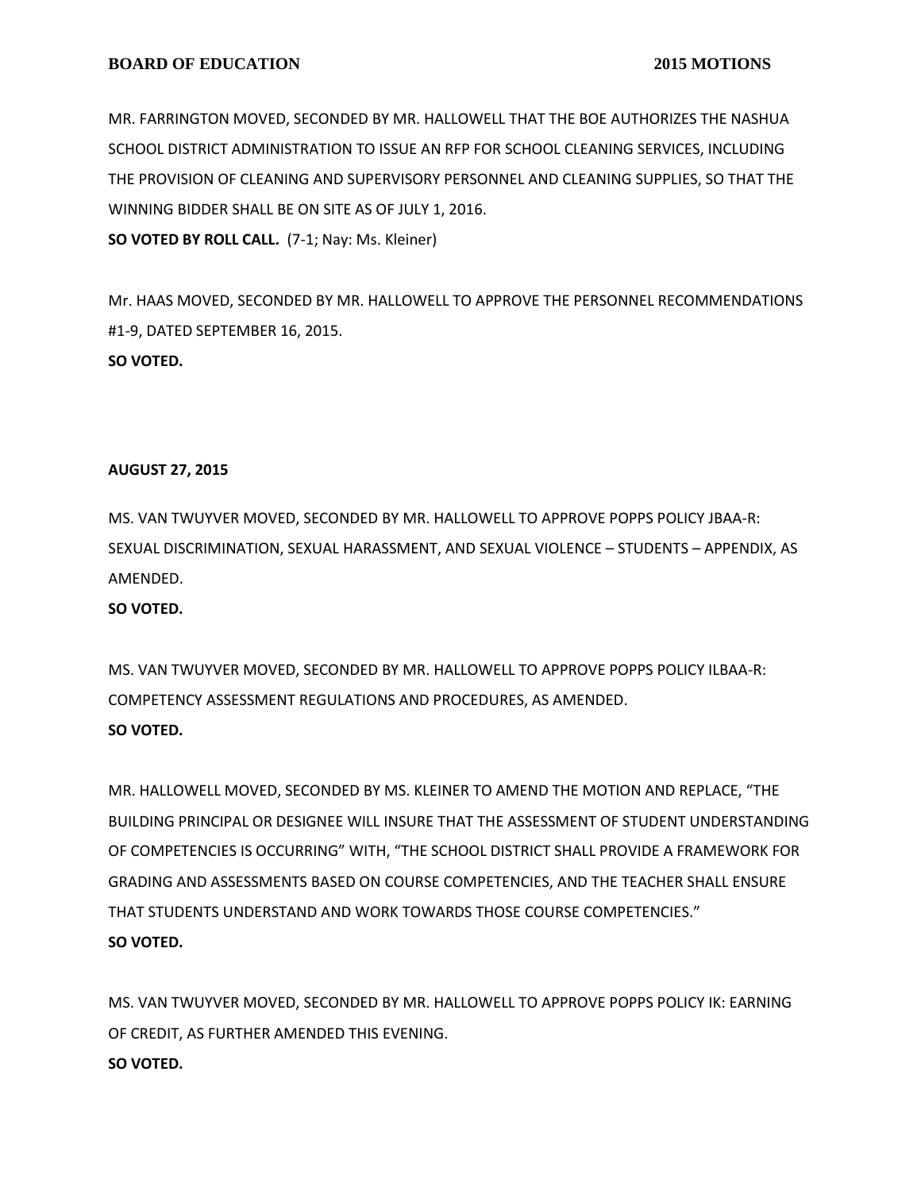### **BOARD OF EDUCATION** 2015 MOTIONS

MR. FARRINGTON MOVED, SECONDED BY MR. HALLOWELL THAT THE BOE AUTHORIZES THE NASHUA SCHOOL DISTRICT ADMINISTRATION TO ISSUE AN RFP FOR SCHOOL CLEANING SERVICES, INCLUDING THE PROVISION OF CLEANING AND SUPERVISORY PERSONNEL AND CLEANING SUPPLIES, SO THAT THE WINNING BIDDER SHALL BE ON SITE AS OF JULY 1, 2016.

**SO VOTED BY ROLL CALL.** (7-1; Nay: Ms. Kleiner)

Mr. HAAS MOVED, SECONDED BY MR. HALLOWELL TO APPROVE THE PERSONNEL RECOMMENDATIONS #1-9, DATED SEPTEMBER 16, 2015. **SO VOTED.**

#### **AUGUST 27, 2015**

MS. VAN TWUYVER MOVED, SECONDED BY MR. HALLOWELL TO APPROVE POPPS POLICY JBAA-R: SEXUAL DISCRIMINATION, SEXUAL HARASSMENT, AND SEXUAL VIOLENCE – STUDENTS – APPENDIX, AS AMENDED.

**SO VOTED.**

MS. VAN TWUYVER MOVED, SECONDED BY MR. HALLOWELL TO APPROVE POPPS POLICY ILBAA-R: COMPETENCY ASSESSMENT REGULATIONS AND PROCEDURES, AS AMENDED. **SO VOTED.**

MR. HALLOWELL MOVED, SECONDED BY MS. KLEINER TO AMEND THE MOTION AND REPLACE, "THE BUILDING PRINCIPAL OR DESIGNEE WILL INSURE THAT THE ASSESSMENT OF STUDENT UNDERSTANDING OF COMPETENCIES IS OCCURRING" WITH, "THE SCHOOL DISTRICT SHALL PROVIDE A FRAMEWORK FOR GRADING AND ASSESSMENTS BASED ON COURSE COMPETENCIES, AND THE TEACHER SHALL ENSURE THAT STUDENTS UNDERSTAND AND WORK TOWARDS THOSE COURSE COMPETENCIES." **SO VOTED.**

MS. VAN TWUYVER MOVED, SECONDED BY MR. HALLOWELL TO APPROVE POPPS POLICY IK: EARNING OF CREDIT, AS FURTHER AMENDED THIS EVENING. **SO VOTED.**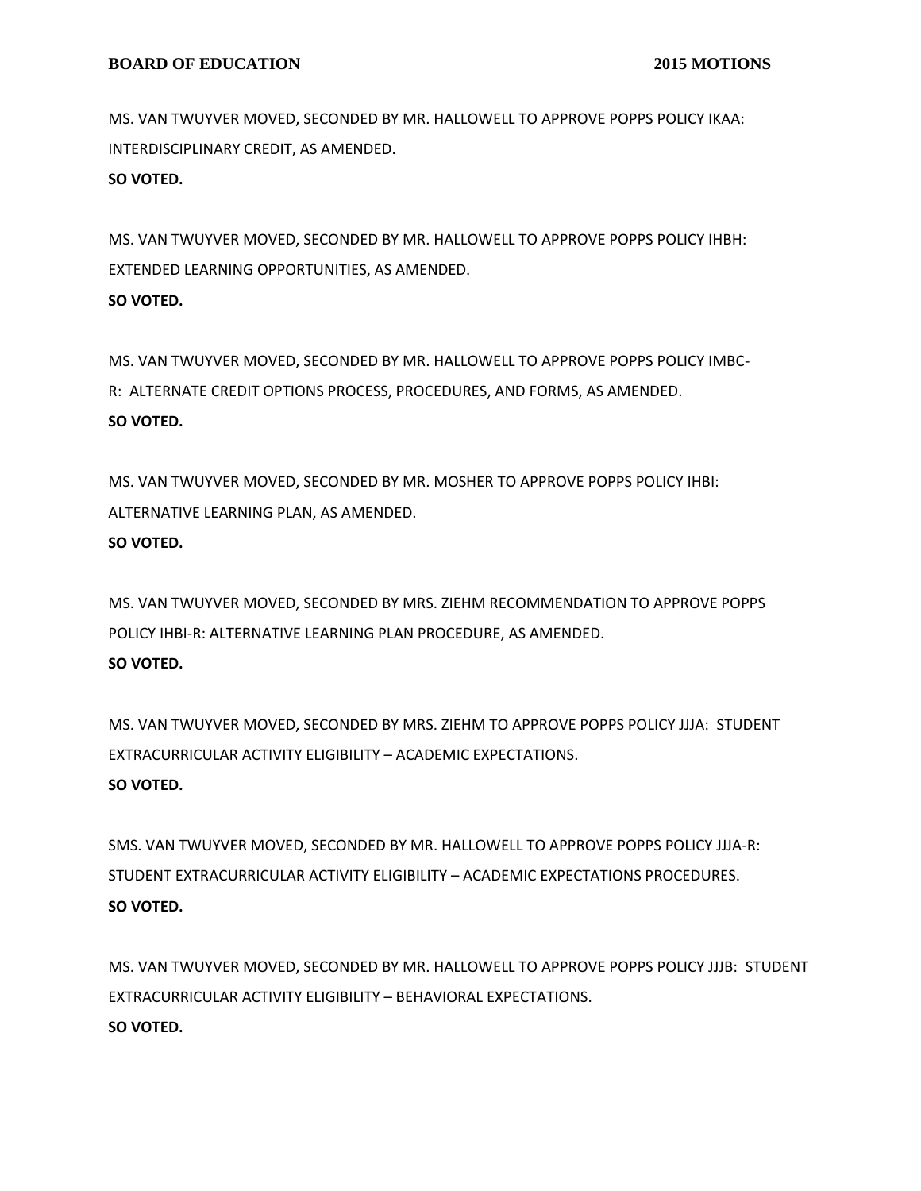MS. VAN TWUYVER MOVED, SECONDED BY MR. HALLOWELL TO APPROVE POPPS POLICY IKAA: INTERDISCIPLINARY CREDIT, AS AMENDED.

**SO VOTED.**

MS. VAN TWUYVER MOVED, SECONDED BY MR. HALLOWELL TO APPROVE POPPS POLICY IHBH: EXTENDED LEARNING OPPORTUNITIES, AS AMENDED. **SO VOTED.**

MS. VAN TWUYVER MOVED, SECONDED BY MR. HALLOWELL TO APPROVE POPPS POLICY IMBC-R: ALTERNATE CREDIT OPTIONS PROCESS, PROCEDURES, AND FORMS, AS AMENDED. **SO VOTED.**

MS. VAN TWUYVER MOVED, SECONDED BY MR. MOSHER TO APPROVE POPPS POLICY IHBI: ALTERNATIVE LEARNING PLAN, AS AMENDED. **SO VOTED.**

MS. VAN TWUYVER MOVED, SECONDED BY MRS. ZIEHM RECOMMENDATION TO APPROVE POPPS POLICY IHBI-R: ALTERNATIVE LEARNING PLAN PROCEDURE, AS AMENDED. **SO VOTED.**

MS. VAN TWUYVER MOVED, SECONDED BY MRS. ZIEHM TO APPROVE POPPS POLICY JJJA: STUDENT EXTRACURRICULAR ACTIVITY ELIGIBILITY – ACADEMIC EXPECTATIONS. **SO VOTED.**

SMS. VAN TWUYVER MOVED, SECONDED BY MR. HALLOWELL TO APPROVE POPPS POLICY JJJA-R: STUDENT EXTRACURRICULAR ACTIVITY ELIGIBILITY – ACADEMIC EXPECTATIONS PROCEDURES. **SO VOTED.**

MS. VAN TWUYVER MOVED, SECONDED BY MR. HALLOWELL TO APPROVE POPPS POLICY JJJB: STUDENT EXTRACURRICULAR ACTIVITY ELIGIBILITY – BEHAVIORAL EXPECTATIONS. **SO VOTED.**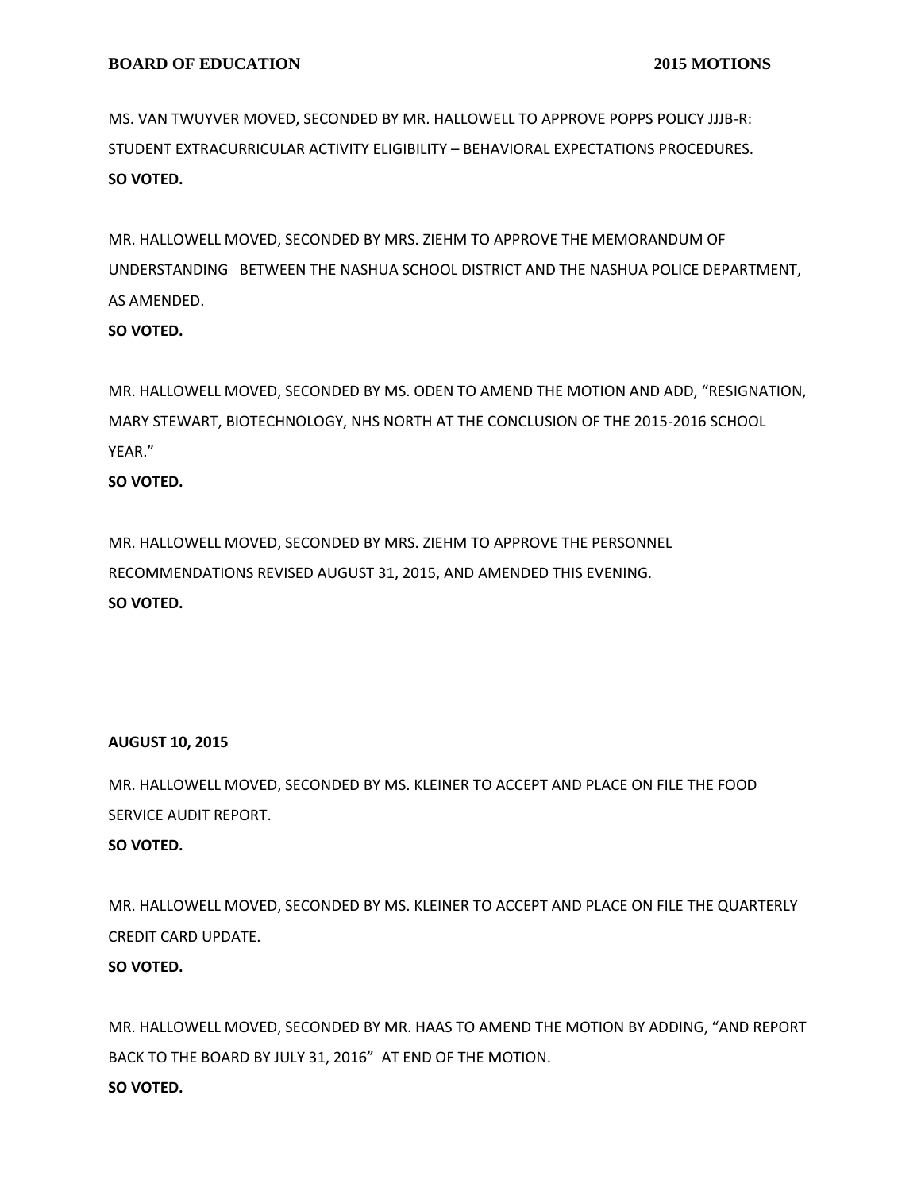MS. VAN TWUYVER MOVED, SECONDED BY MR. HALLOWELL TO APPROVE POPPS POLICY JJJB-R: STUDENT EXTRACURRICULAR ACTIVITY ELIGIBILITY – BEHAVIORAL EXPECTATIONS PROCEDURES. **SO VOTED.**

MR. HALLOWELL MOVED, SECONDED BY MRS. ZIEHM TO APPROVE THE MEMORANDUM OF UNDERSTANDING BETWEEN THE NASHUA SCHOOL DISTRICT AND THE NASHUA POLICE DEPARTMENT, AS AMENDED.

## **SO VOTED.**

MR. HALLOWELL MOVED, SECONDED BY MS. ODEN TO AMEND THE MOTION AND ADD, "RESIGNATION, MARY STEWART, BIOTECHNOLOGY, NHS NORTH AT THE CONCLUSION OF THE 2015-2016 SCHOOL YEAR."

## **SO VOTED.**

MR. HALLOWELL MOVED, SECONDED BY MRS. ZIEHM TO APPROVE THE PERSONNEL RECOMMENDATIONS REVISED AUGUST 31, 2015, AND AMENDED THIS EVENING. **SO VOTED.**

## **AUGUST 10, 2015**

MR. HALLOWELL MOVED, SECONDED BY MS. KLEINER TO ACCEPT AND PLACE ON FILE THE FOOD SERVICE AUDIT REPORT.

## **SO VOTED.**

MR. HALLOWELL MOVED, SECONDED BY MS. KLEINER TO ACCEPT AND PLACE ON FILE THE QUARTERLY CREDIT CARD UPDATE. **SO VOTED.**

MR. HALLOWELL MOVED, SECONDED BY MR. HAAS TO AMEND THE MOTION BY ADDING, "AND REPORT BACK TO THE BOARD BY JULY 31, 2016" AT END OF THE MOTION. **SO VOTED.**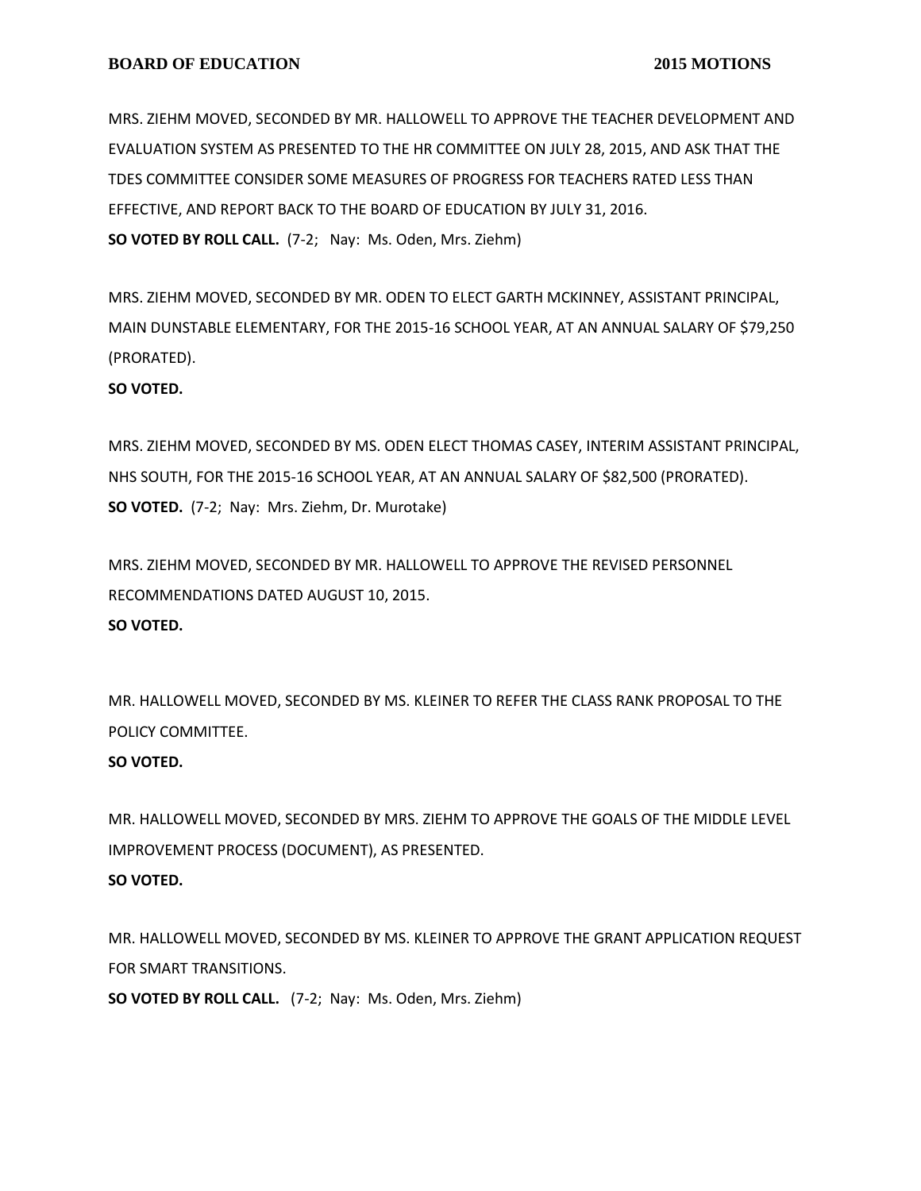MRS. ZIEHM MOVED, SECONDED BY MR. HALLOWELL TO APPROVE THE TEACHER DEVELOPMENT AND EVALUATION SYSTEM AS PRESENTED TO THE HR COMMITTEE ON JULY 28, 2015, AND ASK THAT THE TDES COMMITTEE CONSIDER SOME MEASURES OF PROGRESS FOR TEACHERS RATED LESS THAN EFFECTIVE, AND REPORT BACK TO THE BOARD OF EDUCATION BY JULY 31, 2016. **SO VOTED BY ROLL CALL.** (7-2; Nay: Ms. Oden, Mrs. Ziehm)

MRS. ZIEHM MOVED, SECONDED BY MR. ODEN TO ELECT GARTH MCKINNEY, ASSISTANT PRINCIPAL, MAIN DUNSTABLE ELEMENTARY, FOR THE 2015-16 SCHOOL YEAR, AT AN ANNUAL SALARY OF \$79,250 (PRORATED).

#### **SO VOTED.**

MRS. ZIEHM MOVED, SECONDED BY MS. ODEN ELECT THOMAS CASEY, INTERIM ASSISTANT PRINCIPAL, NHS SOUTH, FOR THE 2015-16 SCHOOL YEAR, AT AN ANNUAL SALARY OF \$82,500 (PRORATED). **SO VOTED.** (7-2; Nay: Mrs. Ziehm, Dr. Murotake)

MRS. ZIEHM MOVED, SECONDED BY MR. HALLOWELL TO APPROVE THE REVISED PERSONNEL RECOMMENDATIONS DATED AUGUST 10, 2015. **SO VOTED.**

MR. HALLOWELL MOVED, SECONDED BY MS. KLEINER TO REFER THE CLASS RANK PROPOSAL TO THE POLICY COMMITTEE.

#### **SO VOTED.**

MR. HALLOWELL MOVED, SECONDED BY MRS. ZIEHM TO APPROVE THE GOALS OF THE MIDDLE LEVEL IMPROVEMENT PROCESS (DOCUMENT), AS PRESENTED. **SO VOTED.**

MR. HALLOWELL MOVED, SECONDED BY MS. KLEINER TO APPROVE THE GRANT APPLICATION REQUEST FOR SMART TRANSITIONS.

**SO VOTED BY ROLL CALL.** (7-2; Nay: Ms. Oden, Mrs. Ziehm)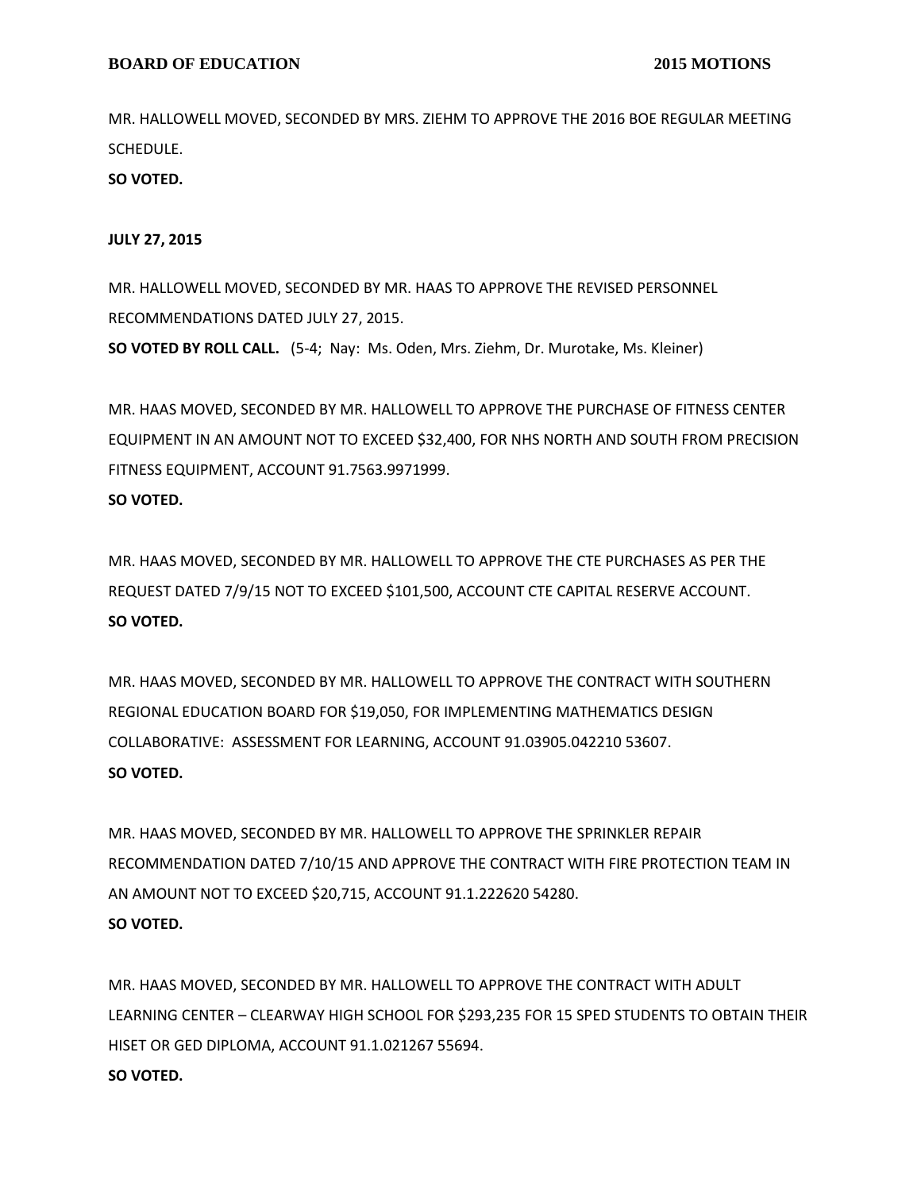MR. HALLOWELL MOVED, SECONDED BY MRS. ZIEHM TO APPROVE THE 2016 BOE REGULAR MEETING SCHEDULE.

**SO VOTED.**

#### **JULY 27, 2015**

MR. HALLOWELL MOVED, SECONDED BY MR. HAAS TO APPROVE THE REVISED PERSONNEL RECOMMENDATIONS DATED JULY 27, 2015. **SO VOTED BY ROLL CALL.** (5-4; Nay: Ms. Oden, Mrs. Ziehm, Dr. Murotake, Ms. Kleiner)

MR. HAAS MOVED, SECONDED BY MR. HALLOWELL TO APPROVE THE PURCHASE OF FITNESS CENTER EQUIPMENT IN AN AMOUNT NOT TO EXCEED \$32,400, FOR NHS NORTH AND SOUTH FROM PRECISION FITNESS EQUIPMENT, ACCOUNT 91.7563.9971999.

#### **SO VOTED.**

MR. HAAS MOVED, SECONDED BY MR. HALLOWELL TO APPROVE THE CTE PURCHASES AS PER THE REQUEST DATED 7/9/15 NOT TO EXCEED \$101,500, ACCOUNT CTE CAPITAL RESERVE ACCOUNT. **SO VOTED.**

MR. HAAS MOVED, SECONDED BY MR. HALLOWELL TO APPROVE THE CONTRACT WITH SOUTHERN REGIONAL EDUCATION BOARD FOR \$19,050, FOR IMPLEMENTING MATHEMATICS DESIGN COLLABORATIVE: ASSESSMENT FOR LEARNING, ACCOUNT 91.03905.042210 53607. **SO VOTED.**

MR. HAAS MOVED, SECONDED BY MR. HALLOWELL TO APPROVE THE SPRINKLER REPAIR RECOMMENDATION DATED 7/10/15 AND APPROVE THE CONTRACT WITH FIRE PROTECTION TEAM IN AN AMOUNT NOT TO EXCEED \$20,715, ACCOUNT 91.1.222620 54280. **SO VOTED.**

MR. HAAS MOVED, SECONDED BY MR. HALLOWELL TO APPROVE THE CONTRACT WITH ADULT LEARNING CENTER – CLEARWAY HIGH SCHOOL FOR \$293,235 FOR 15 SPED STUDENTS TO OBTAIN THEIR HISET OR GED DIPLOMA, ACCOUNT 91.1.021267 55694. **SO VOTED.**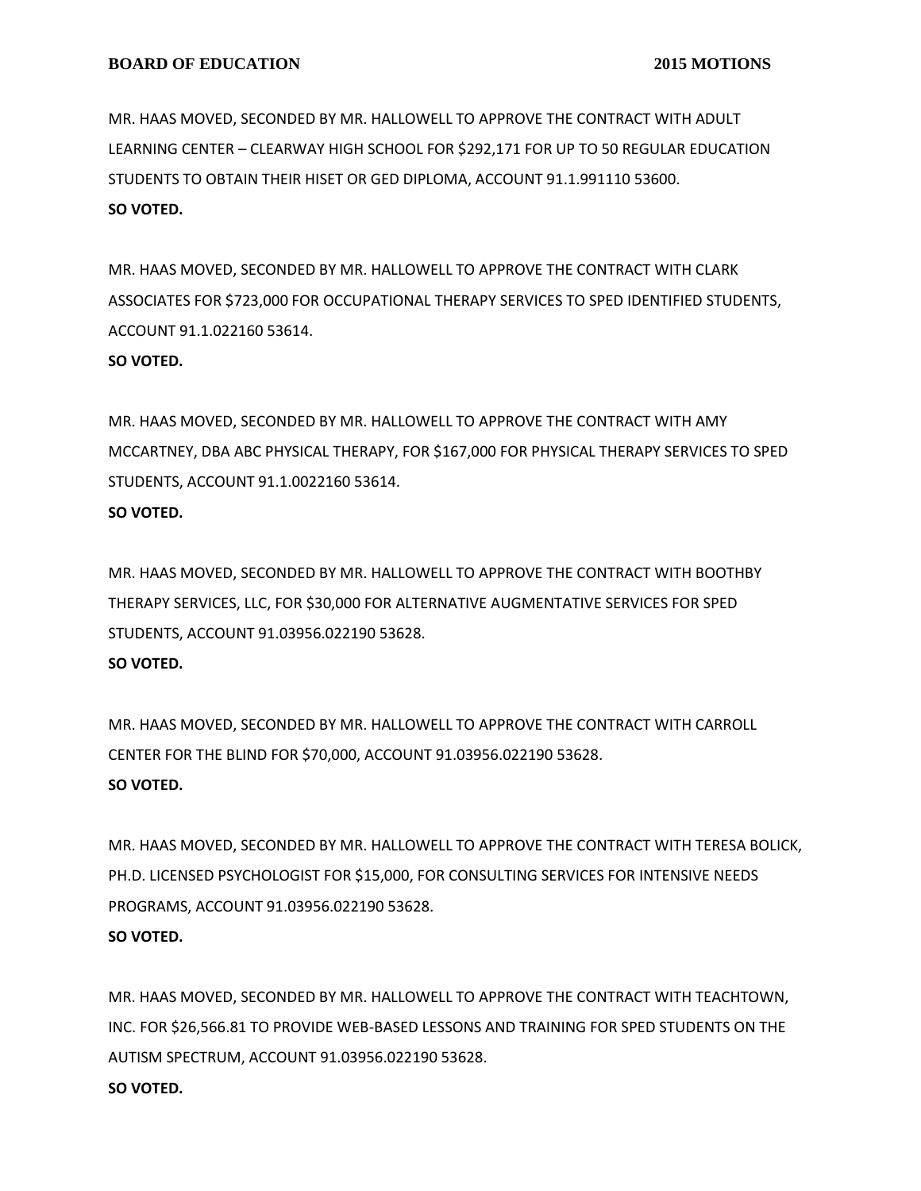MR. HAAS MOVED, SECONDED BY MR. HALLOWELL TO APPROVE THE CONTRACT WITH ADULT LEARNING CENTER – CLEARWAY HIGH SCHOOL FOR \$292,171 FOR UP TO 50 REGULAR EDUCATION STUDENTS TO OBTAIN THEIR HISET OR GED DIPLOMA, ACCOUNT 91.1.991110 53600. **SO VOTED.**

MR. HAAS MOVED, SECONDED BY MR. HALLOWELL TO APPROVE THE CONTRACT WITH CLARK ASSOCIATES FOR \$723,000 FOR OCCUPATIONAL THERAPY SERVICES TO SPED IDENTIFIED STUDENTS, ACCOUNT 91.1.022160 53614. **SO VOTED.**

MR. HAAS MOVED, SECONDED BY MR. HALLOWELL TO APPROVE THE CONTRACT WITH AMY MCCARTNEY, DBA ABC PHYSICAL THERAPY, FOR \$167,000 FOR PHYSICAL THERAPY SERVICES TO SPED STUDENTS, ACCOUNT 91.1.0022160 53614.

**SO VOTED.**

MR. HAAS MOVED, SECONDED BY MR. HALLOWELL TO APPROVE THE CONTRACT WITH BOOTHBY THERAPY SERVICES, LLC, FOR \$30,000 FOR ALTERNATIVE AUGMENTATIVE SERVICES FOR SPED STUDENTS, ACCOUNT 91.03956.022190 53628.

#### **SO VOTED.**

MR. HAAS MOVED, SECONDED BY MR. HALLOWELL TO APPROVE THE CONTRACT WITH CARROLL CENTER FOR THE BLIND FOR \$70,000, ACCOUNT 91.03956.022190 53628. **SO VOTED.**

MR. HAAS MOVED, SECONDED BY MR. HALLOWELL TO APPROVE THE CONTRACT WITH TERESA BOLICK, PH.D. LICENSED PSYCHOLOGIST FOR \$15,000, FOR CONSULTING SERVICES FOR INTENSIVE NEEDS PROGRAMS, ACCOUNT 91.03956.022190 53628. **SO VOTED.**

MR. HAAS MOVED, SECONDED BY MR. HALLOWELL TO APPROVE THE CONTRACT WITH TEACHTOWN, INC. FOR \$26,566.81 TO PROVIDE WEB-BASED LESSONS AND TRAINING FOR SPED STUDENTS ON THE AUTISM SPECTRUM, ACCOUNT 91.03956.022190 53628. **SO VOTED.**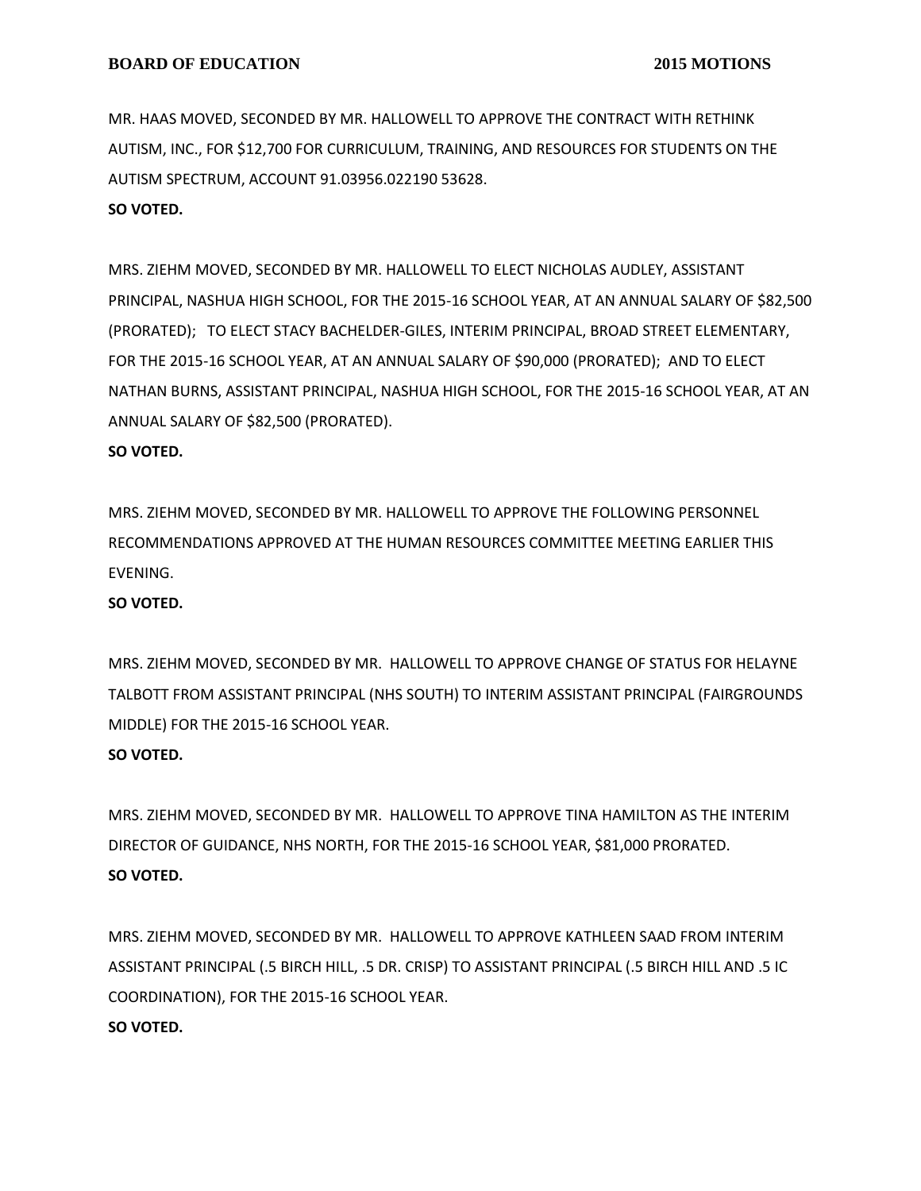MR. HAAS MOVED, SECONDED BY MR. HALLOWELL TO APPROVE THE CONTRACT WITH RETHINK AUTISM, INC., FOR \$12,700 FOR CURRICULUM, TRAINING, AND RESOURCES FOR STUDENTS ON THE AUTISM SPECTRUM, ACCOUNT 91.03956.022190 53628.

#### **SO VOTED.**

MRS. ZIEHM MOVED, SECONDED BY MR. HALLOWELL TO ELECT NICHOLAS AUDLEY, ASSISTANT PRINCIPAL, NASHUA HIGH SCHOOL, FOR THE 2015-16 SCHOOL YEAR, AT AN ANNUAL SALARY OF \$82,500 (PRORATED); TO ELECT STACY BACHELDER-GILES, INTERIM PRINCIPAL, BROAD STREET ELEMENTARY, FOR THE 2015-16 SCHOOL YEAR, AT AN ANNUAL SALARY OF \$90,000 (PRORATED); AND TO ELECT NATHAN BURNS, ASSISTANT PRINCIPAL, NASHUA HIGH SCHOOL, FOR THE 2015-16 SCHOOL YEAR, AT AN ANNUAL SALARY OF \$82,500 (PRORATED).

### **SO VOTED.**

MRS. ZIEHM MOVED, SECONDED BY MR. HALLOWELL TO APPROVE THE FOLLOWING PERSONNEL RECOMMENDATIONS APPROVED AT THE HUMAN RESOURCES COMMITTEE MEETING EARLIER THIS EVENING.

#### **SO VOTED.**

MRS. ZIEHM MOVED, SECONDED BY MR. HALLOWELL TO APPROVE CHANGE OF STATUS FOR HELAYNE TALBOTT FROM ASSISTANT PRINCIPAL (NHS SOUTH) TO INTERIM ASSISTANT PRINCIPAL (FAIRGROUNDS MIDDLE) FOR THE 2015-16 SCHOOL YEAR. **SO VOTED.**

MRS. ZIEHM MOVED, SECONDED BY MR. HALLOWELL TO APPROVE TINA HAMILTON AS THE INTERIM DIRECTOR OF GUIDANCE, NHS NORTH, FOR THE 2015-16 SCHOOL YEAR, \$81,000 PRORATED. **SO VOTED.**

MRS. ZIEHM MOVED, SECONDED BY MR. HALLOWELL TO APPROVE KATHLEEN SAAD FROM INTERIM ASSISTANT PRINCIPAL (.5 BIRCH HILL, .5 DR. CRISP) TO ASSISTANT PRINCIPAL (.5 BIRCH HILL AND .5 IC COORDINATION), FOR THE 2015-16 SCHOOL YEAR. **SO VOTED.**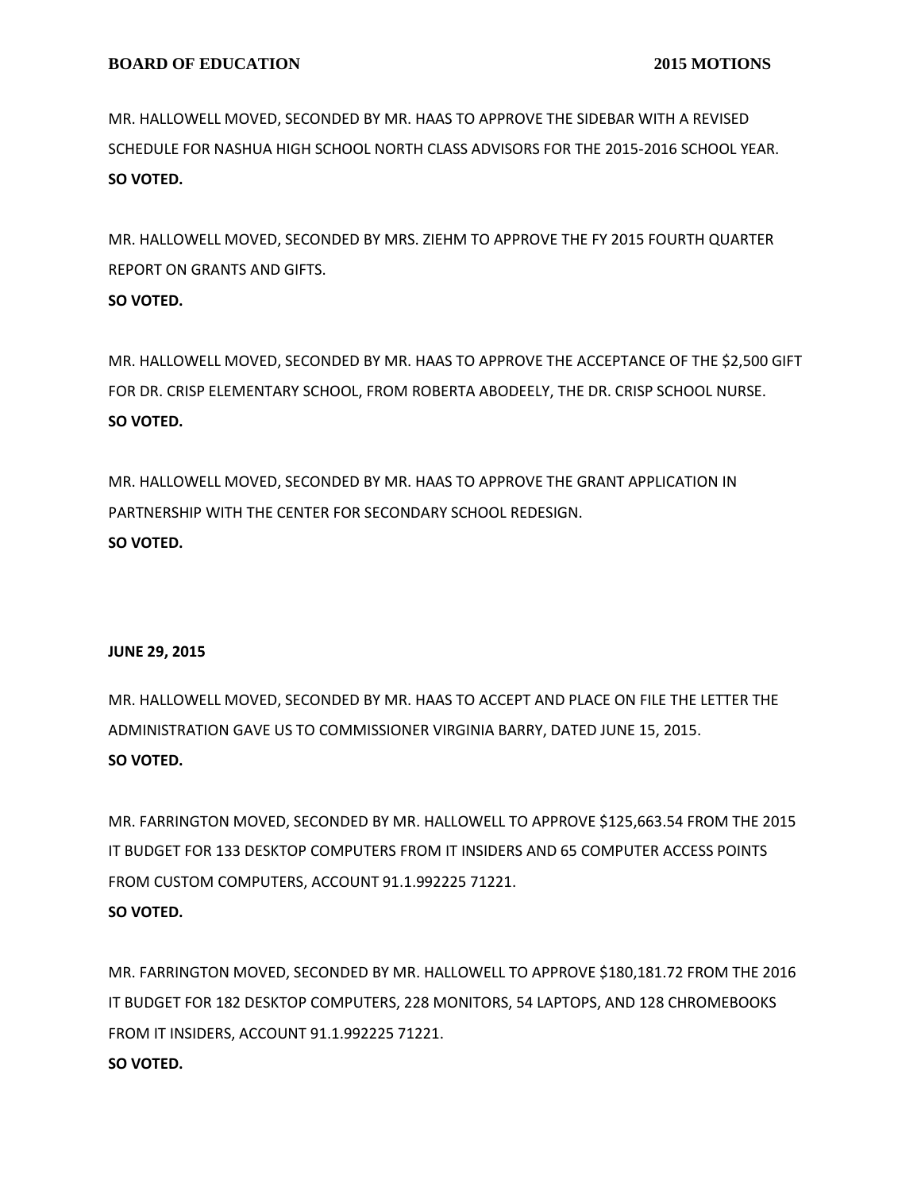MR. HALLOWELL MOVED, SECONDED BY MR. HAAS TO APPROVE THE SIDEBAR WITH A REVISED SCHEDULE FOR NASHUA HIGH SCHOOL NORTH CLASS ADVISORS FOR THE 2015-2016 SCHOOL YEAR. **SO VOTED.**

MR. HALLOWELL MOVED, SECONDED BY MRS. ZIEHM TO APPROVE THE FY 2015 FOURTH QUARTER REPORT ON GRANTS AND GIFTS.

# **SO VOTED.**

MR. HALLOWELL MOVED, SECONDED BY MR. HAAS TO APPROVE THE ACCEPTANCE OF THE \$2,500 GIFT FOR DR. CRISP ELEMENTARY SCHOOL, FROM ROBERTA ABODEELY, THE DR. CRISP SCHOOL NURSE. **SO VOTED.**

MR. HALLOWELL MOVED, SECONDED BY MR. HAAS TO APPROVE THE GRANT APPLICATION IN PARTNERSHIP WITH THE CENTER FOR SECONDARY SCHOOL REDESIGN. **SO VOTED.**

## **JUNE 29, 2015**

MR. HALLOWELL MOVED, SECONDED BY MR. HAAS TO ACCEPT AND PLACE ON FILE THE LETTER THE ADMINISTRATION GAVE US TO COMMISSIONER VIRGINIA BARRY, DATED JUNE 15, 2015. **SO VOTED.**

MR. FARRINGTON MOVED, SECONDED BY MR. HALLOWELL TO APPROVE \$125,663.54 FROM THE 2015 IT BUDGET FOR 133 DESKTOP COMPUTERS FROM IT INSIDERS AND 65 COMPUTER ACCESS POINTS FROM CUSTOM COMPUTERS, ACCOUNT 91.1.992225 71221. **SO VOTED.**

MR. FARRINGTON MOVED, SECONDED BY MR. HALLOWELL TO APPROVE \$180,181.72 FROM THE 2016 IT BUDGET FOR 182 DESKTOP COMPUTERS, 228 MONITORS, 54 LAPTOPS, AND 128 CHROMEBOOKS FROM IT INSIDERS, ACCOUNT 91.1.992225 71221. **SO VOTED.**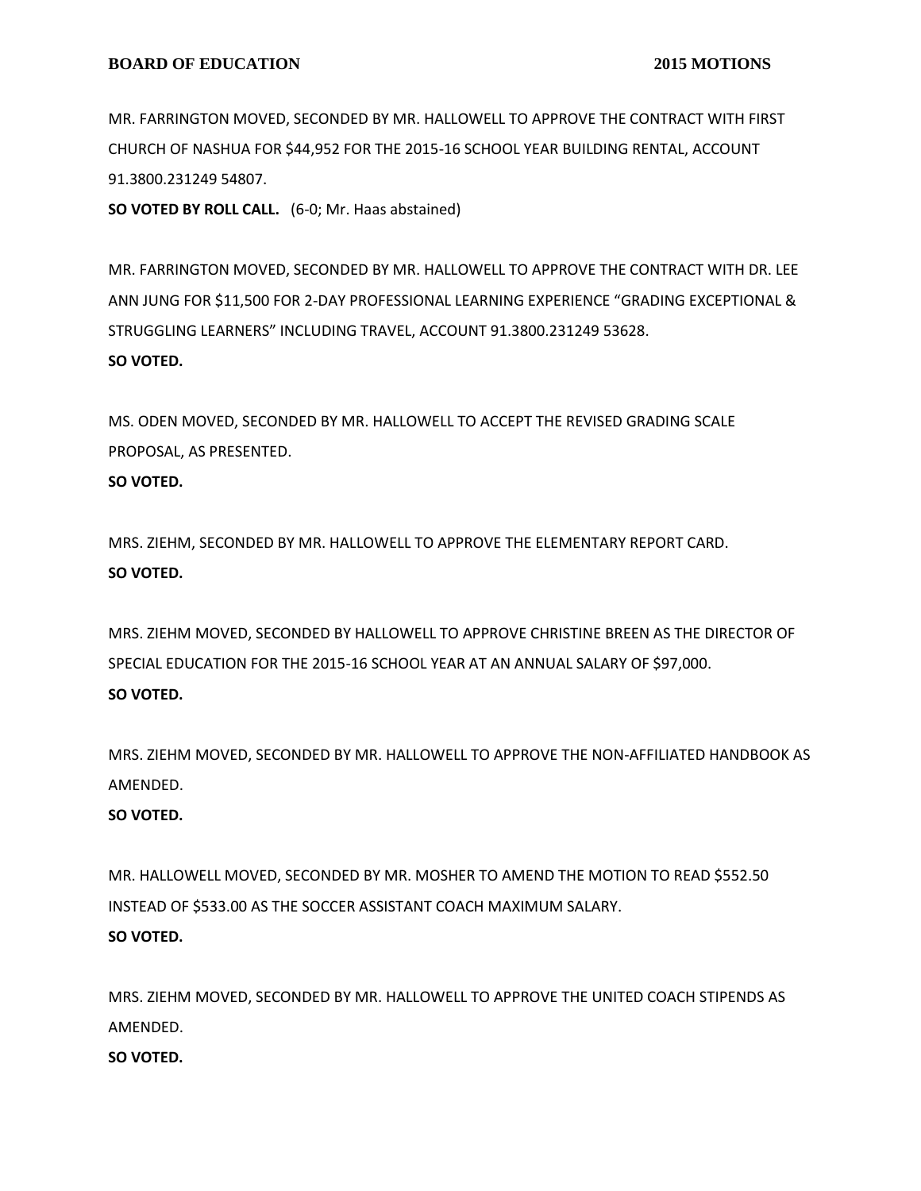MR. FARRINGTON MOVED, SECONDED BY MR. HALLOWELL TO APPROVE THE CONTRACT WITH FIRST CHURCH OF NASHUA FOR \$44,952 FOR THE 2015-16 SCHOOL YEAR BUILDING RENTAL, ACCOUNT 91.3800.231249 54807.

**SO VOTED BY ROLL CALL.** (6-0; Mr. Haas abstained)

MR. FARRINGTON MOVED, SECONDED BY MR. HALLOWELL TO APPROVE THE CONTRACT WITH DR. LEE ANN JUNG FOR \$11,500 FOR 2-DAY PROFESSIONAL LEARNING EXPERIENCE "GRADING EXCEPTIONAL & STRUGGLING LEARNERS" INCLUDING TRAVEL, ACCOUNT 91.3800.231249 53628. **SO VOTED.**

MS. ODEN MOVED, SECONDED BY MR. HALLOWELL TO ACCEPT THE REVISED GRADING SCALE PROPOSAL, AS PRESENTED.

#### **SO VOTED.**

MRS. ZIEHM, SECONDED BY MR. HALLOWELL TO APPROVE THE ELEMENTARY REPORT CARD. **SO VOTED.**

MRS. ZIEHM MOVED, SECONDED BY HALLOWELL TO APPROVE CHRISTINE BREEN AS THE DIRECTOR OF SPECIAL EDUCATION FOR THE 2015-16 SCHOOL YEAR AT AN ANNUAL SALARY OF \$97,000. **SO VOTED.**

MRS. ZIEHM MOVED, SECONDED BY MR. HALLOWELL TO APPROVE THE NON-AFFILIATED HANDBOOK AS AMENDED.

## **SO VOTED.**

MR. HALLOWELL MOVED, SECONDED BY MR. MOSHER TO AMEND THE MOTION TO READ \$552.50 INSTEAD OF \$533.00 AS THE SOCCER ASSISTANT COACH MAXIMUM SALARY. **SO VOTED.**

MRS. ZIEHM MOVED, SECONDED BY MR. HALLOWELL TO APPROVE THE UNITED COACH STIPENDS AS AMENDED.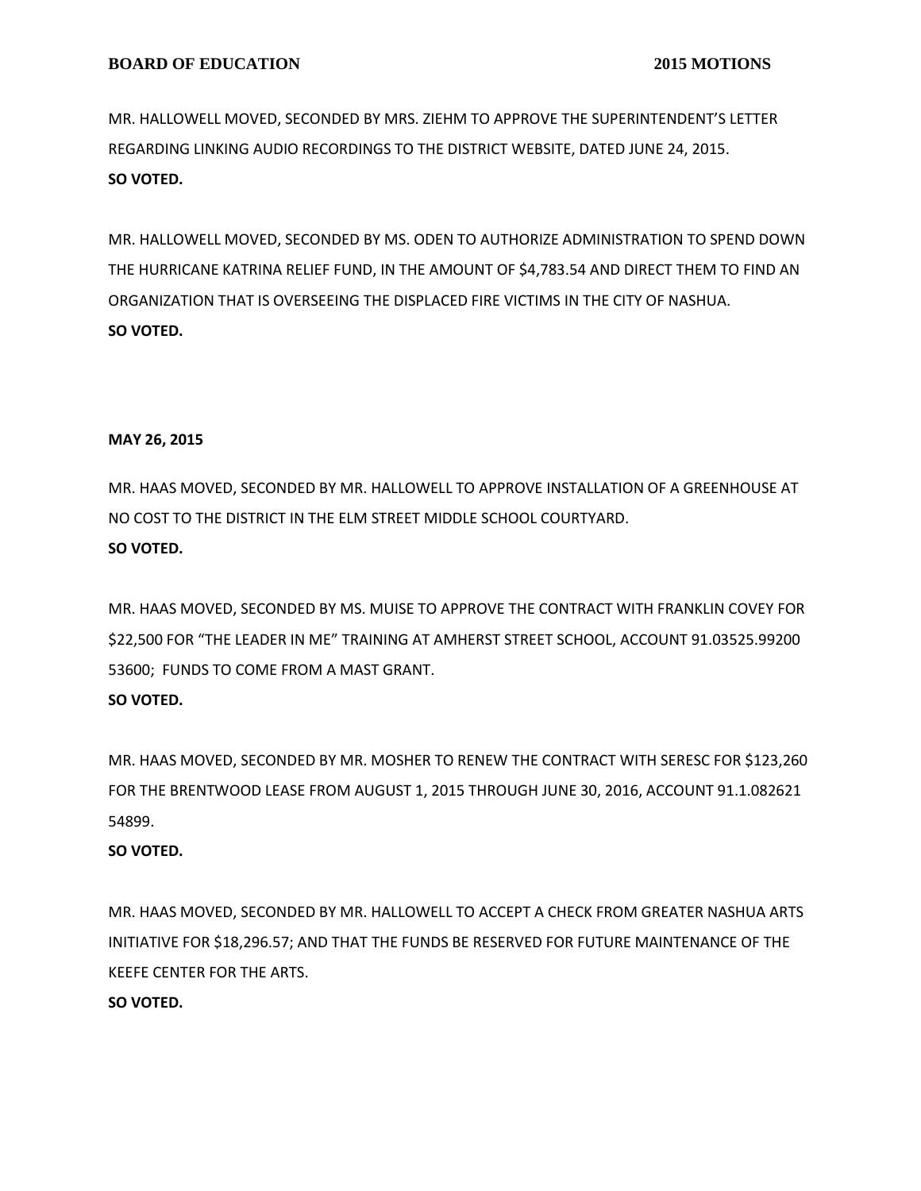MR. HALLOWELL MOVED, SECONDED BY MRS. ZIEHM TO APPROVE THE SUPERINTENDENT'S LETTER REGARDING LINKING AUDIO RECORDINGS TO THE DISTRICT WEBSITE, DATED JUNE 24, 2015. **SO VOTED.**

MR. HALLOWELL MOVED, SECONDED BY MS. ODEN TO AUTHORIZE ADMINISTRATION TO SPEND DOWN THE HURRICANE KATRINA RELIEF FUND, IN THE AMOUNT OF \$4,783.54 AND DIRECT THEM TO FIND AN ORGANIZATION THAT IS OVERSEEING THE DISPLACED FIRE VICTIMS IN THE CITY OF NASHUA. **SO VOTED.**

#### **MAY 26, 2015**

MR. HAAS MOVED, SECONDED BY MR. HALLOWELL TO APPROVE INSTALLATION OF A GREENHOUSE AT NO COST TO THE DISTRICT IN THE ELM STREET MIDDLE SCHOOL COURTYARD. **SO VOTED.**

MR. HAAS MOVED, SECONDED BY MS. MUISE TO APPROVE THE CONTRACT WITH FRANKLIN COVEY FOR \$22,500 FOR "THE LEADER IN ME" TRAINING AT AMHERST STREET SCHOOL, ACCOUNT 91.03525.99200 53600; FUNDS TO COME FROM A MAST GRANT.

## **SO VOTED.**

MR. HAAS MOVED, SECONDED BY MR. MOSHER TO RENEW THE CONTRACT WITH SERESC FOR \$123,260 FOR THE BRENTWOOD LEASE FROM AUGUST 1, 2015 THROUGH JUNE 30, 2016, ACCOUNT 91.1.082621 54899.

## **SO VOTED.**

MR. HAAS MOVED, SECONDED BY MR. HALLOWELL TO ACCEPT A CHECK FROM GREATER NASHUA ARTS INITIATIVE FOR \$18,296.57; AND THAT THE FUNDS BE RESERVED FOR FUTURE MAINTENANCE OF THE KEEFE CENTER FOR THE ARTS.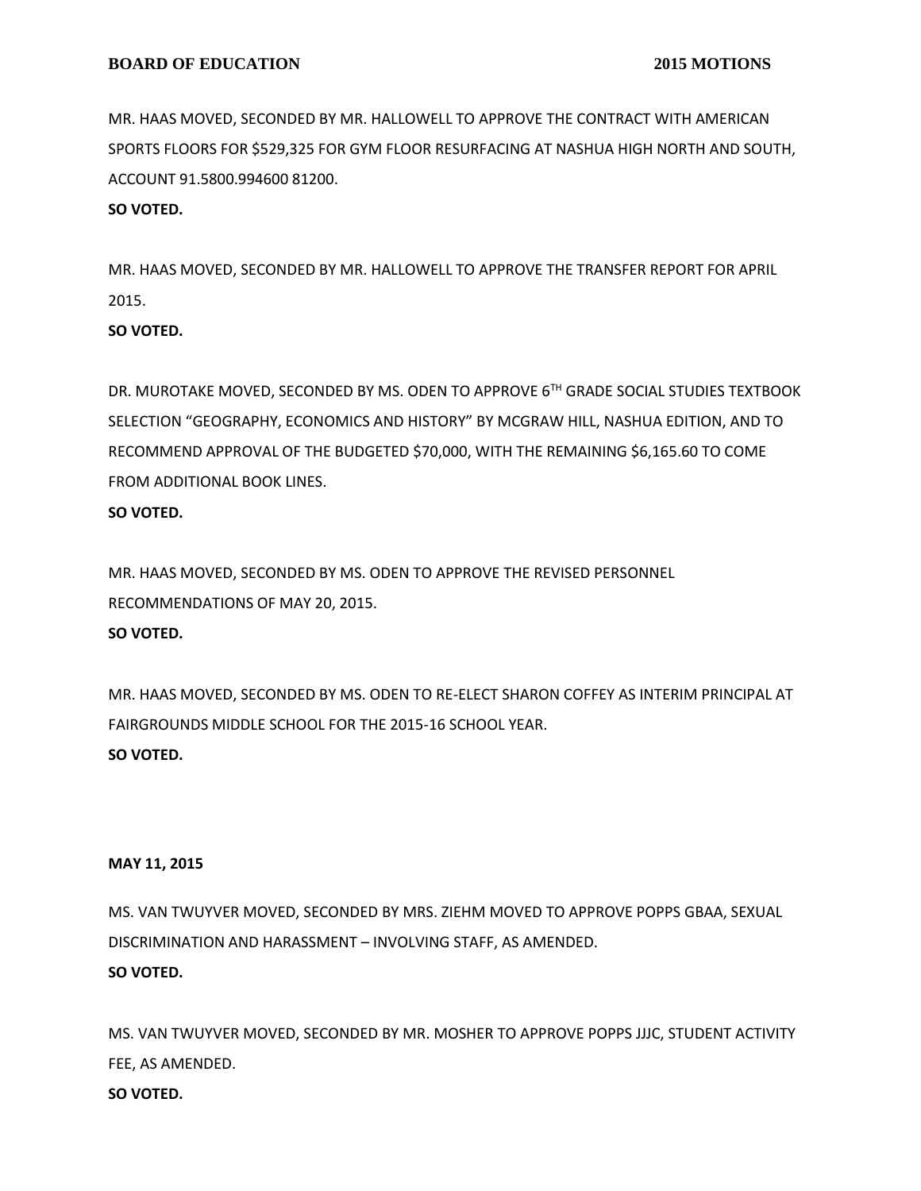MR. HAAS MOVED, SECONDED BY MR. HALLOWELL TO APPROVE THE CONTRACT WITH AMERICAN SPORTS FLOORS FOR \$529,325 FOR GYM FLOOR RESURFACING AT NASHUA HIGH NORTH AND SOUTH, ACCOUNT 91.5800.994600 81200.

#### **SO VOTED.**

MR. HAAS MOVED, SECONDED BY MR. HALLOWELL TO APPROVE THE TRANSFER REPORT FOR APRIL 2015.

## **SO VOTED.**

DR. MUROTAKE MOVED, SECONDED BY MS. ODEN TO APPROVE 6TH GRADE SOCIAL STUDIES TEXTBOOK SELECTION "GEOGRAPHY, ECONOMICS AND HISTORY" BY MCGRAW HILL, NASHUA EDITION, AND TO RECOMMEND APPROVAL OF THE BUDGETED \$70,000, WITH THE REMAINING \$6,165.60 TO COME FROM ADDITIONAL BOOK LINES.

#### **SO VOTED.**

MR. HAAS MOVED, SECONDED BY MS. ODEN TO APPROVE THE REVISED PERSONNEL RECOMMENDATIONS OF MAY 20, 2015. **SO VOTED.**

MR. HAAS MOVED, SECONDED BY MS. ODEN TO RE-ELECT SHARON COFFEY AS INTERIM PRINCIPAL AT FAIRGROUNDS MIDDLE SCHOOL FOR THE 2015-16 SCHOOL YEAR. **SO VOTED.**

#### **MAY 11, 2015**

MS. VAN TWUYVER MOVED, SECONDED BY MRS. ZIEHM MOVED TO APPROVE POPPS GBAA, SEXUAL DISCRIMINATION AND HARASSMENT – INVOLVING STAFF, AS AMENDED. **SO VOTED.**

MS. VAN TWUYVER MOVED, SECONDED BY MR. MOSHER TO APPROVE POPPS JJJC, STUDENT ACTIVITY FEE, AS AMENDED. **SO VOTED.**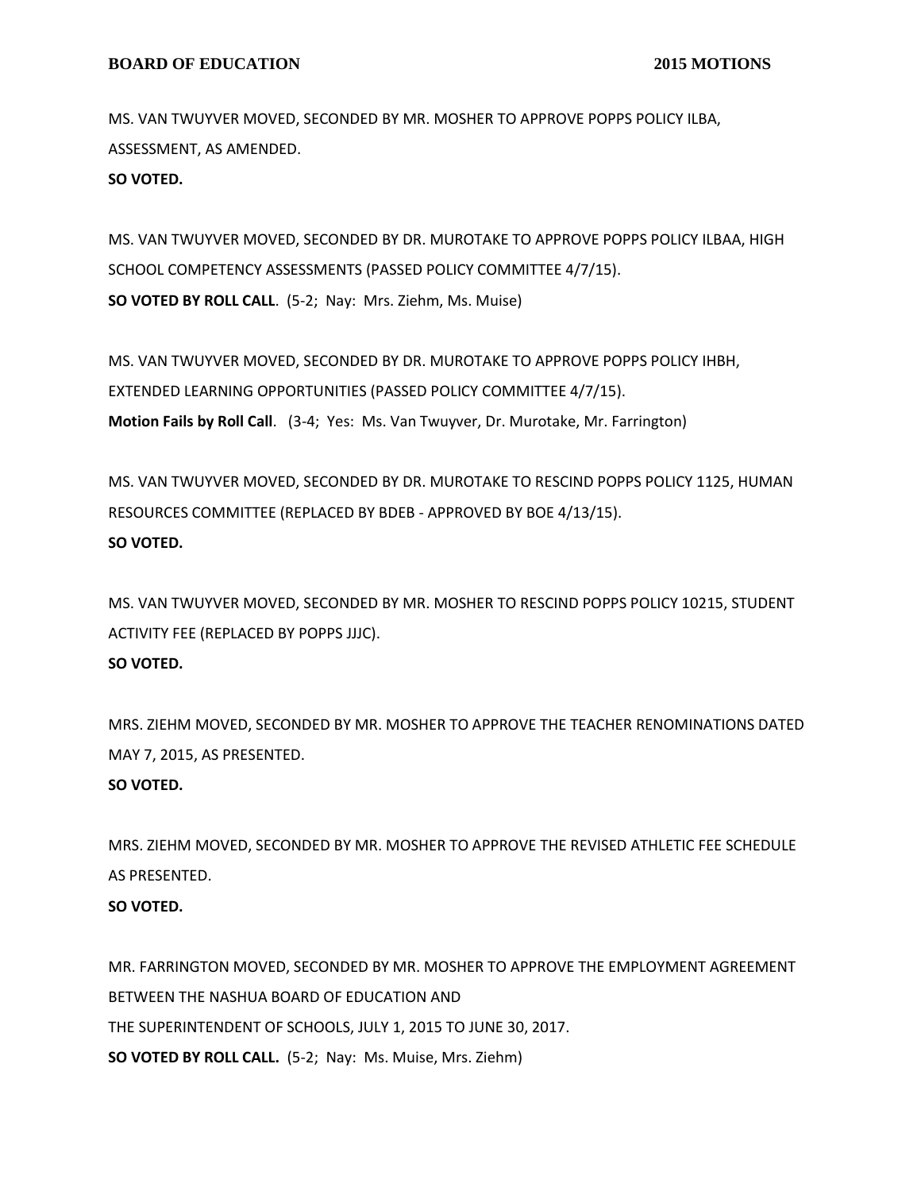MS. VAN TWUYVER MOVED, SECONDED BY MR. MOSHER TO APPROVE POPPS POLICY ILBA, ASSESSMENT, AS AMENDED.

**SO VOTED.**

MS. VAN TWUYVER MOVED, SECONDED BY DR. MUROTAKE TO APPROVE POPPS POLICY ILBAA, HIGH SCHOOL COMPETENCY ASSESSMENTS (PASSED POLICY COMMITTEE 4/7/15). **SO VOTED BY ROLL CALL**. (5-2; Nay: Mrs. Ziehm, Ms. Muise)

MS. VAN TWUYVER MOVED, SECONDED BY DR. MUROTAKE TO APPROVE POPPS POLICY IHBH, EXTENDED LEARNING OPPORTUNITIES (PASSED POLICY COMMITTEE 4/7/15). **Motion Fails by Roll Call**. (3-4; Yes: Ms. Van Twuyver, Dr. Murotake, Mr. Farrington)

MS. VAN TWUYVER MOVED, SECONDED BY DR. MUROTAKE TO RESCIND POPPS POLICY 1125, HUMAN RESOURCES COMMITTEE (REPLACED BY BDEB - APPROVED BY BOE 4/13/15). **SO VOTED.**

MS. VAN TWUYVER MOVED, SECONDED BY MR. MOSHER TO RESCIND POPPS POLICY 10215, STUDENT ACTIVITY FEE (REPLACED BY POPPS JJJC).

#### **SO VOTED.**

MRS. ZIEHM MOVED, SECONDED BY MR. MOSHER TO APPROVE THE TEACHER RENOMINATIONS DATED MAY 7, 2015, AS PRESENTED.

## **SO VOTED.**

MRS. ZIEHM MOVED, SECONDED BY MR. MOSHER TO APPROVE THE REVISED ATHLETIC FEE SCHEDULE AS PRESENTED.

## **SO VOTED.**

MR. FARRINGTON MOVED, SECONDED BY MR. MOSHER TO APPROVE THE EMPLOYMENT AGREEMENT BETWEEN THE NASHUA BOARD OF EDUCATION AND THE SUPERINTENDENT OF SCHOOLS, JULY 1, 2015 TO JUNE 30, 2017. **SO VOTED BY ROLL CALL.** (5-2; Nay: Ms. Muise, Mrs. Ziehm)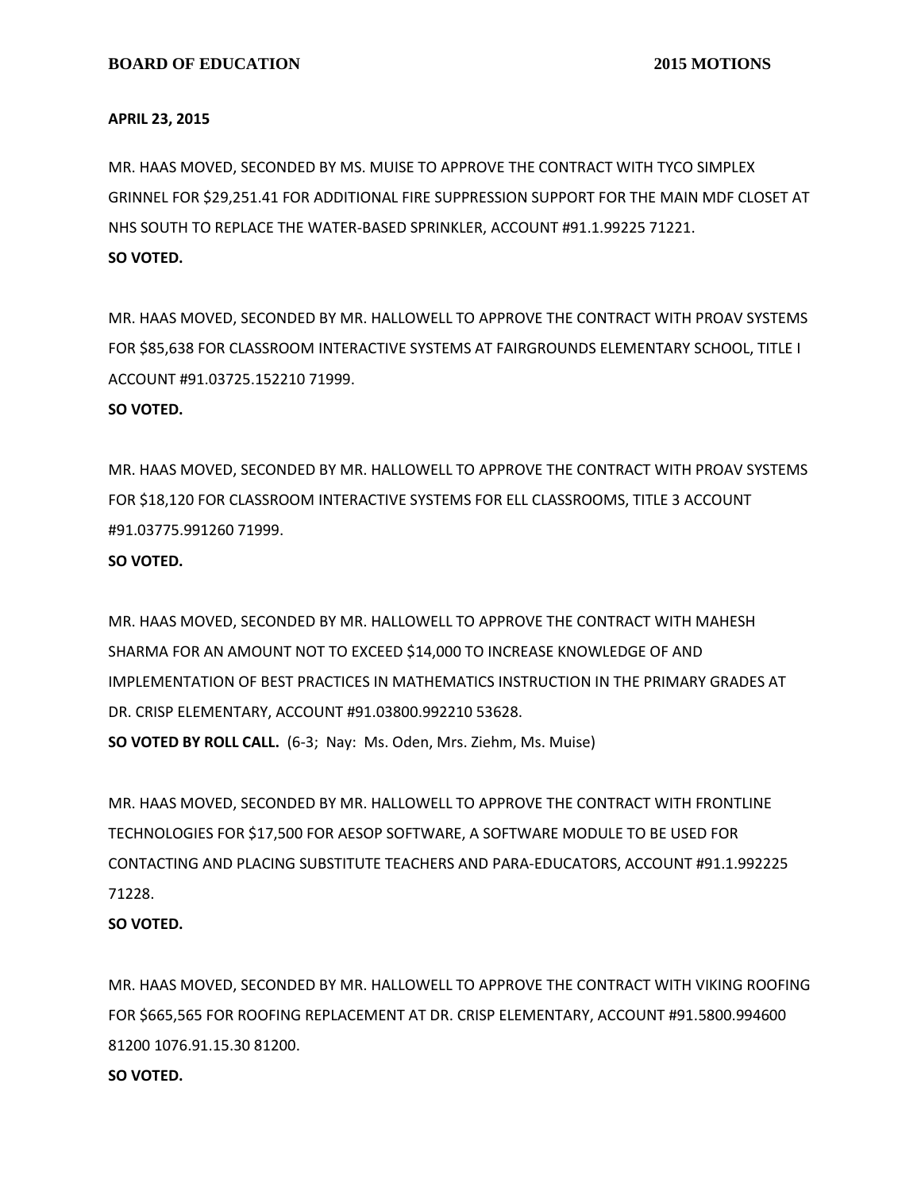#### **APRIL 23, 2015**

MR. HAAS MOVED, SECONDED BY MS. MUISE TO APPROVE THE CONTRACT WITH TYCO SIMPLEX GRINNEL FOR \$29,251.41 FOR ADDITIONAL FIRE SUPPRESSION SUPPORT FOR THE MAIN MDF CLOSET AT NHS SOUTH TO REPLACE THE WATER-BASED SPRINKLER, ACCOUNT #91.1.99225 71221. **SO VOTED.**

MR. HAAS MOVED, SECONDED BY MR. HALLOWELL TO APPROVE THE CONTRACT WITH PROAV SYSTEMS FOR \$85,638 FOR CLASSROOM INTERACTIVE SYSTEMS AT FAIRGROUNDS ELEMENTARY SCHOOL, TITLE I ACCOUNT #91.03725.152210 71999.

#### **SO VOTED.**

MR. HAAS MOVED, SECONDED BY MR. HALLOWELL TO APPROVE THE CONTRACT WITH PROAV SYSTEMS FOR \$18,120 FOR CLASSROOM INTERACTIVE SYSTEMS FOR ELL CLASSROOMS, TITLE 3 ACCOUNT #91.03775.991260 71999.

#### **SO VOTED.**

MR. HAAS MOVED, SECONDED BY MR. HALLOWELL TO APPROVE THE CONTRACT WITH MAHESH SHARMA FOR AN AMOUNT NOT TO EXCEED \$14,000 TO INCREASE KNOWLEDGE OF AND IMPLEMENTATION OF BEST PRACTICES IN MATHEMATICS INSTRUCTION IN THE PRIMARY GRADES AT DR. CRISP ELEMENTARY, ACCOUNT #91.03800.992210 53628. **SO VOTED BY ROLL CALL.** (6-3; Nay: Ms. Oden, Mrs. Ziehm, Ms. Muise)

MR. HAAS MOVED, SECONDED BY MR. HALLOWELL TO APPROVE THE CONTRACT WITH FRONTLINE TECHNOLOGIES FOR \$17,500 FOR AESOP SOFTWARE, A SOFTWARE MODULE TO BE USED FOR CONTACTING AND PLACING SUBSTITUTE TEACHERS AND PARA-EDUCATORS, ACCOUNT #91.1.992225 71228.

#### **SO VOTED.**

MR. HAAS MOVED, SECONDED BY MR. HALLOWELL TO APPROVE THE CONTRACT WITH VIKING ROOFING FOR \$665,565 FOR ROOFING REPLACEMENT AT DR. CRISP ELEMENTARY, ACCOUNT #91.5800.994600 81200 1076.91.15.30 81200.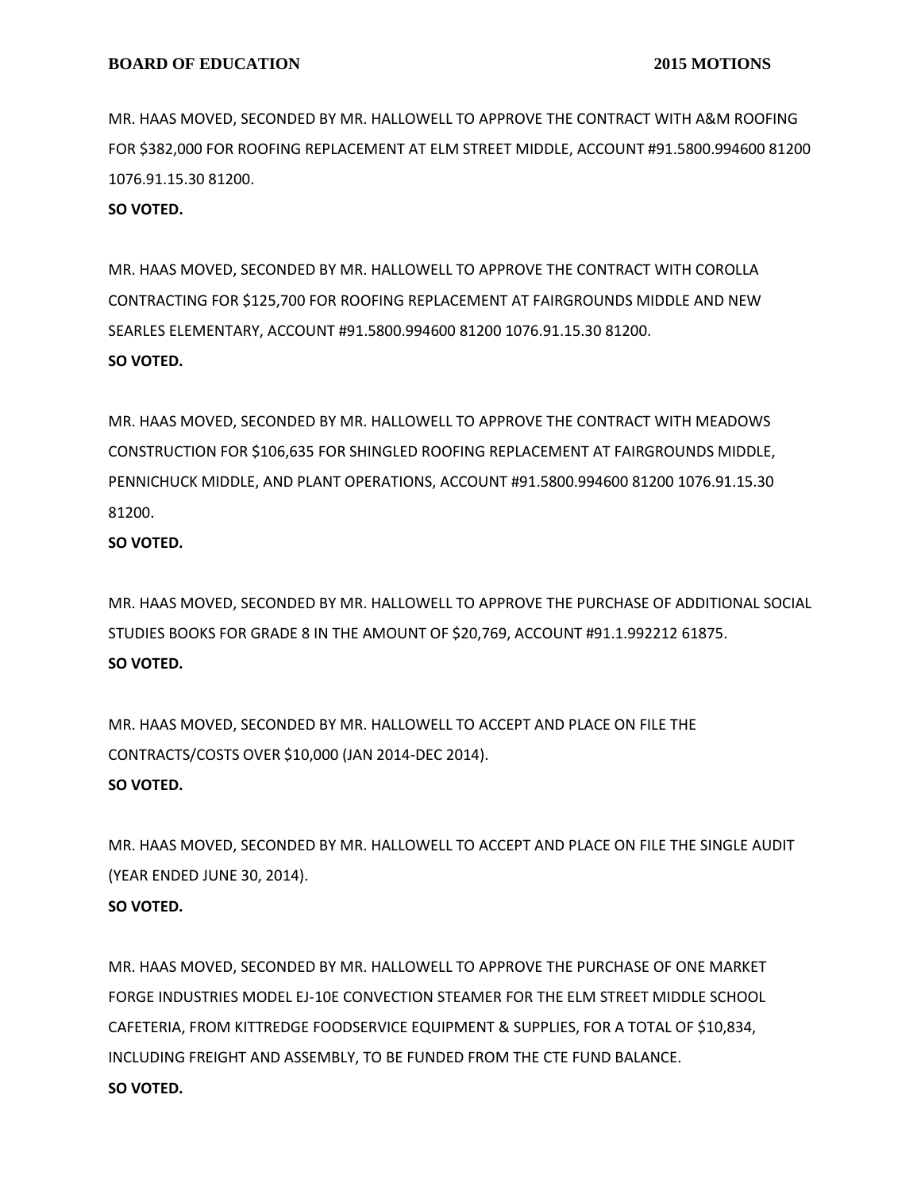MR. HAAS MOVED, SECONDED BY MR. HALLOWELL TO APPROVE THE CONTRACT WITH A&M ROOFING FOR \$382,000 FOR ROOFING REPLACEMENT AT ELM STREET MIDDLE, ACCOUNT #91.5800.994600 81200 1076.91.15.30 81200.

**SO VOTED.**

MR. HAAS MOVED, SECONDED BY MR. HALLOWELL TO APPROVE THE CONTRACT WITH COROLLA CONTRACTING FOR \$125,700 FOR ROOFING REPLACEMENT AT FAIRGROUNDS MIDDLE AND NEW SEARLES ELEMENTARY, ACCOUNT #91.5800.994600 81200 1076.91.15.30 81200. **SO VOTED.**

MR. HAAS MOVED, SECONDED BY MR. HALLOWELL TO APPROVE THE CONTRACT WITH MEADOWS CONSTRUCTION FOR \$106,635 FOR SHINGLED ROOFING REPLACEMENT AT FAIRGROUNDS MIDDLE, PENNICHUCK MIDDLE, AND PLANT OPERATIONS, ACCOUNT #91.5800.994600 81200 1076.91.15.30 81200.

**SO VOTED.**

MR. HAAS MOVED, SECONDED BY MR. HALLOWELL TO APPROVE THE PURCHASE OF ADDITIONAL SOCIAL STUDIES BOOKS FOR GRADE 8 IN THE AMOUNT OF \$20,769, ACCOUNT #91.1.992212 61875. **SO VOTED.**

MR. HAAS MOVED, SECONDED BY MR. HALLOWELL TO ACCEPT AND PLACE ON FILE THE CONTRACTS/COSTS OVER \$10,000 (JAN 2014-DEC 2014). **SO VOTED.**

MR. HAAS MOVED, SECONDED BY MR. HALLOWELL TO ACCEPT AND PLACE ON FILE THE SINGLE AUDIT (YEAR ENDED JUNE 30, 2014). **SO VOTED.**

MR. HAAS MOVED, SECONDED BY MR. HALLOWELL TO APPROVE THE PURCHASE OF ONE MARKET FORGE INDUSTRIES MODEL EJ-10E CONVECTION STEAMER FOR THE ELM STREET MIDDLE SCHOOL CAFETERIA, FROM KITTREDGE FOODSERVICE EQUIPMENT & SUPPLIES, FOR A TOTAL OF \$10,834, INCLUDING FREIGHT AND ASSEMBLY, TO BE FUNDED FROM THE CTE FUND BALANCE. **SO VOTED.**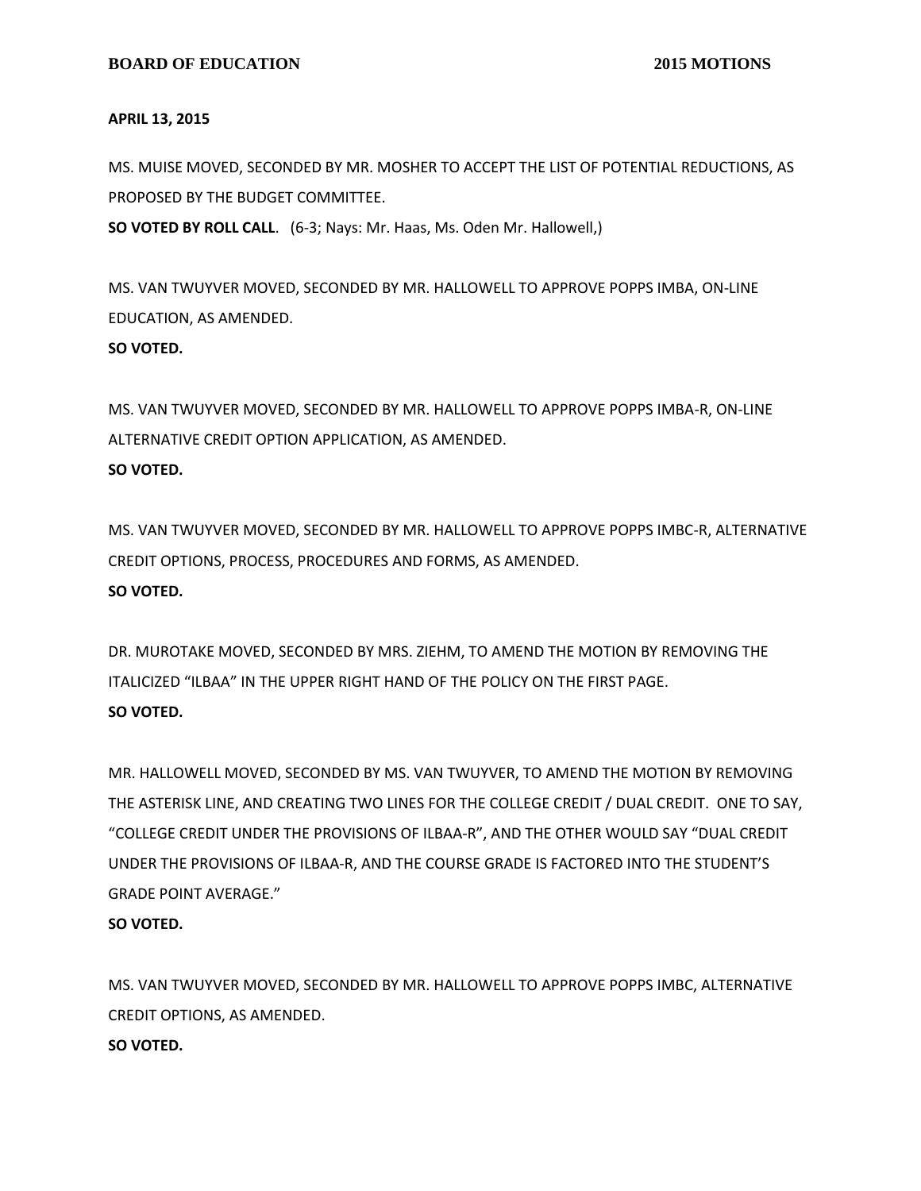#### **APRIL 13, 2015**

MS. MUISE MOVED, SECONDED BY MR. MOSHER TO ACCEPT THE LIST OF POTENTIAL REDUCTIONS, AS PROPOSED BY THE BUDGET COMMITTEE. **SO VOTED BY ROLL CALL**. (6-3; Nays: Mr. Haas, Ms. Oden Mr. Hallowell,)

MS. VAN TWUYVER MOVED, SECONDED BY MR. HALLOWELL TO APPROVE POPPS IMBA, ON-LINE EDUCATION, AS AMENDED. **SO VOTED.**

MS. VAN TWUYVER MOVED, SECONDED BY MR. HALLOWELL TO APPROVE POPPS IMBA-R, ON-LINE ALTERNATIVE CREDIT OPTION APPLICATION, AS AMENDED. **SO VOTED.**

MS. VAN TWUYVER MOVED, SECONDED BY MR. HALLOWELL TO APPROVE POPPS IMBC-R, ALTERNATIVE CREDIT OPTIONS, PROCESS, PROCEDURES AND FORMS, AS AMENDED. **SO VOTED.**

DR. MUROTAKE MOVED, SECONDED BY MRS. ZIEHM, TO AMEND THE MOTION BY REMOVING THE ITALICIZED "ILBAA" IN THE UPPER RIGHT HAND OF THE POLICY ON THE FIRST PAGE. **SO VOTED.**

MR. HALLOWELL MOVED, SECONDED BY MS. VAN TWUYVER, TO AMEND THE MOTION BY REMOVING THE ASTERISK LINE, AND CREATING TWO LINES FOR THE COLLEGE CREDIT / DUAL CREDIT. ONE TO SAY, "COLLEGE CREDIT UNDER THE PROVISIONS OF ILBAA-R", AND THE OTHER WOULD SAY "DUAL CREDIT UNDER THE PROVISIONS OF ILBAA-R, AND THE COURSE GRADE IS FACTORED INTO THE STUDENT'S GRADE POINT AVERAGE."

## **SO VOTED.**

MS. VAN TWUYVER MOVED, SECONDED BY MR. HALLOWELL TO APPROVE POPPS IMBC, ALTERNATIVE CREDIT OPTIONS, AS AMENDED. **SO VOTED.**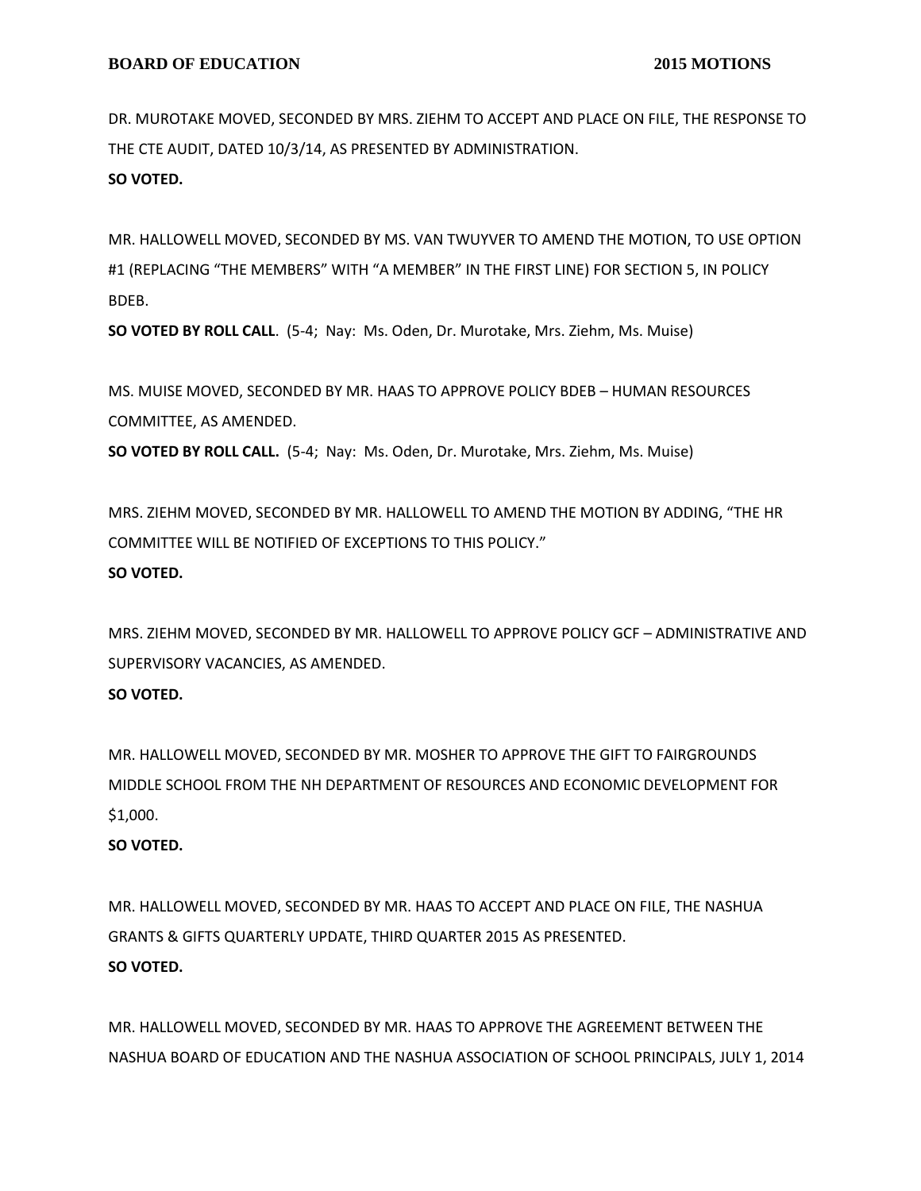DR. MUROTAKE MOVED, SECONDED BY MRS. ZIEHM TO ACCEPT AND PLACE ON FILE, THE RESPONSE TO THE CTE AUDIT, DATED 10/3/14, AS PRESENTED BY ADMINISTRATION. **SO VOTED.**

MR. HALLOWELL MOVED, SECONDED BY MS. VAN TWUYVER TO AMEND THE MOTION, TO USE OPTION #1 (REPLACING "THE MEMBERS" WITH "A MEMBER" IN THE FIRST LINE) FOR SECTION 5, IN POLICY BDEB.

**SO VOTED BY ROLL CALL**. (5-4; Nay: Ms. Oden, Dr. Murotake, Mrs. Ziehm, Ms. Muise)

MS. MUISE MOVED, SECONDED BY MR. HAAS TO APPROVE POLICY BDEB – HUMAN RESOURCES COMMITTEE, AS AMENDED.

**SO VOTED BY ROLL CALL.** (5-4; Nay: Ms. Oden, Dr. Murotake, Mrs. Ziehm, Ms. Muise)

MRS. ZIEHM MOVED, SECONDED BY MR. HALLOWELL TO AMEND THE MOTION BY ADDING, "THE HR COMMITTEE WILL BE NOTIFIED OF EXCEPTIONS TO THIS POLICY." **SO VOTED.**

MRS. ZIEHM MOVED, SECONDED BY MR. HALLOWELL TO APPROVE POLICY GCF – ADMINISTRATIVE AND SUPERVISORY VACANCIES, AS AMENDED.

## **SO VOTED.**

MR. HALLOWELL MOVED, SECONDED BY MR. MOSHER TO APPROVE THE GIFT TO FAIRGROUNDS MIDDLE SCHOOL FROM THE NH DEPARTMENT OF RESOURCES AND ECONOMIC DEVELOPMENT FOR \$1,000.

## **SO VOTED.**

MR. HALLOWELL MOVED, SECONDED BY MR. HAAS TO ACCEPT AND PLACE ON FILE, THE NASHUA GRANTS & GIFTS QUARTERLY UPDATE, THIRD QUARTER 2015 AS PRESENTED. **SO VOTED.**

MR. HALLOWELL MOVED, SECONDED BY MR. HAAS TO APPROVE THE AGREEMENT BETWEEN THE NASHUA BOARD OF EDUCATION AND THE NASHUA ASSOCIATION OF SCHOOL PRINCIPALS, JULY 1, 2014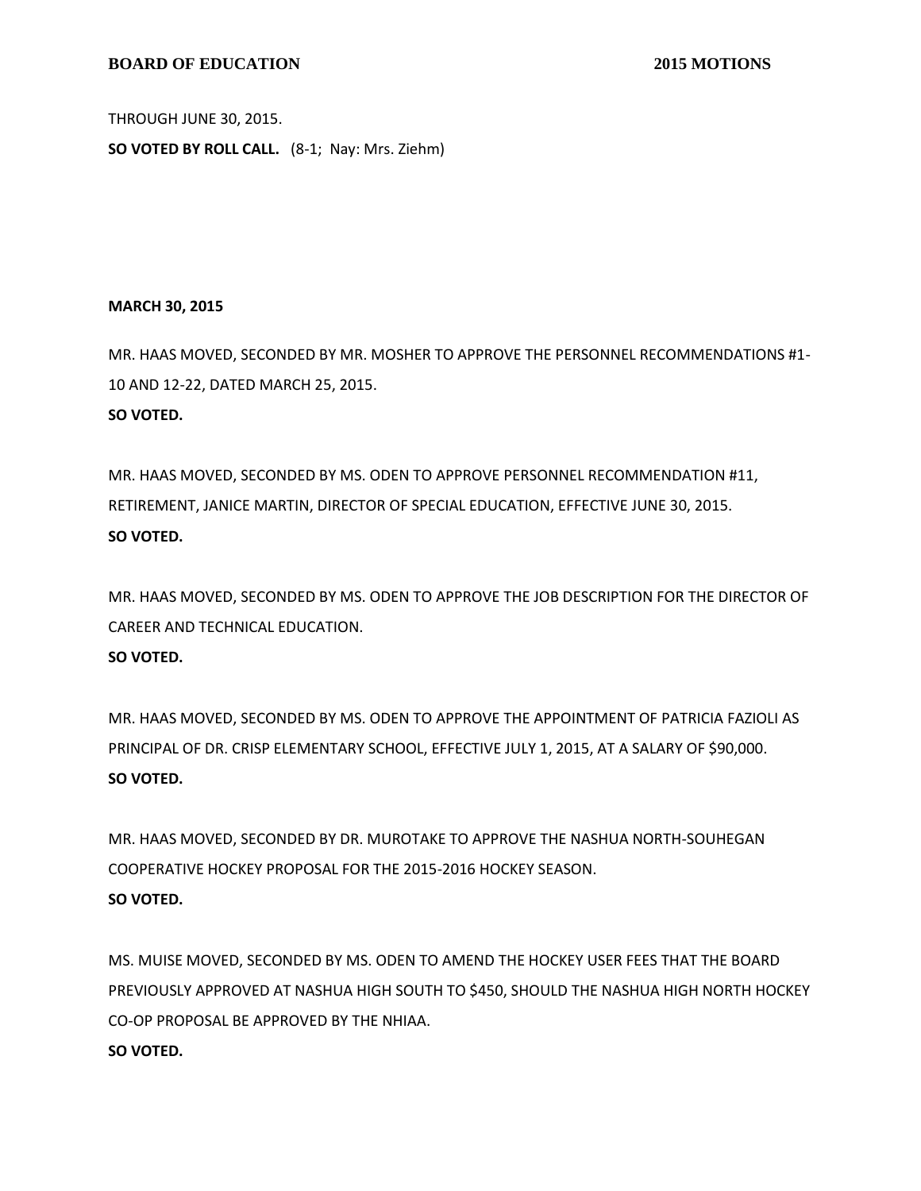#### **BOARD OF EDUCATION** 2015 MOTIONS

THROUGH JUNE 30, 2015.

**SO VOTED BY ROLL CALL.** (8-1; Nay: Mrs. Ziehm)

#### **MARCH 30, 2015**

MR. HAAS MOVED, SECONDED BY MR. MOSHER TO APPROVE THE PERSONNEL RECOMMENDATIONS #1- 10 AND 12-22, DATED MARCH 25, 2015. **SO VOTED.**

MR. HAAS MOVED, SECONDED BY MS. ODEN TO APPROVE PERSONNEL RECOMMENDATION #11, RETIREMENT, JANICE MARTIN, DIRECTOR OF SPECIAL EDUCATION, EFFECTIVE JUNE 30, 2015. **SO VOTED.**

MR. HAAS MOVED, SECONDED BY MS. ODEN TO APPROVE THE JOB DESCRIPTION FOR THE DIRECTOR OF CAREER AND TECHNICAL EDUCATION.

## **SO VOTED.**

MR. HAAS MOVED, SECONDED BY MS. ODEN TO APPROVE THE APPOINTMENT OF PATRICIA FAZIOLI AS PRINCIPAL OF DR. CRISP ELEMENTARY SCHOOL, EFFECTIVE JULY 1, 2015, AT A SALARY OF \$90,000. **SO VOTED.**

MR. HAAS MOVED, SECONDED BY DR. MUROTAKE TO APPROVE THE NASHUA NORTH-SOUHEGAN COOPERATIVE HOCKEY PROPOSAL FOR THE 2015-2016 HOCKEY SEASON. **SO VOTED.**

MS. MUISE MOVED, SECONDED BY MS. ODEN TO AMEND THE HOCKEY USER FEES THAT THE BOARD PREVIOUSLY APPROVED AT NASHUA HIGH SOUTH TO \$450, SHOULD THE NASHUA HIGH NORTH HOCKEY CO-OP PROPOSAL BE APPROVED BY THE NHIAA. **SO VOTED.**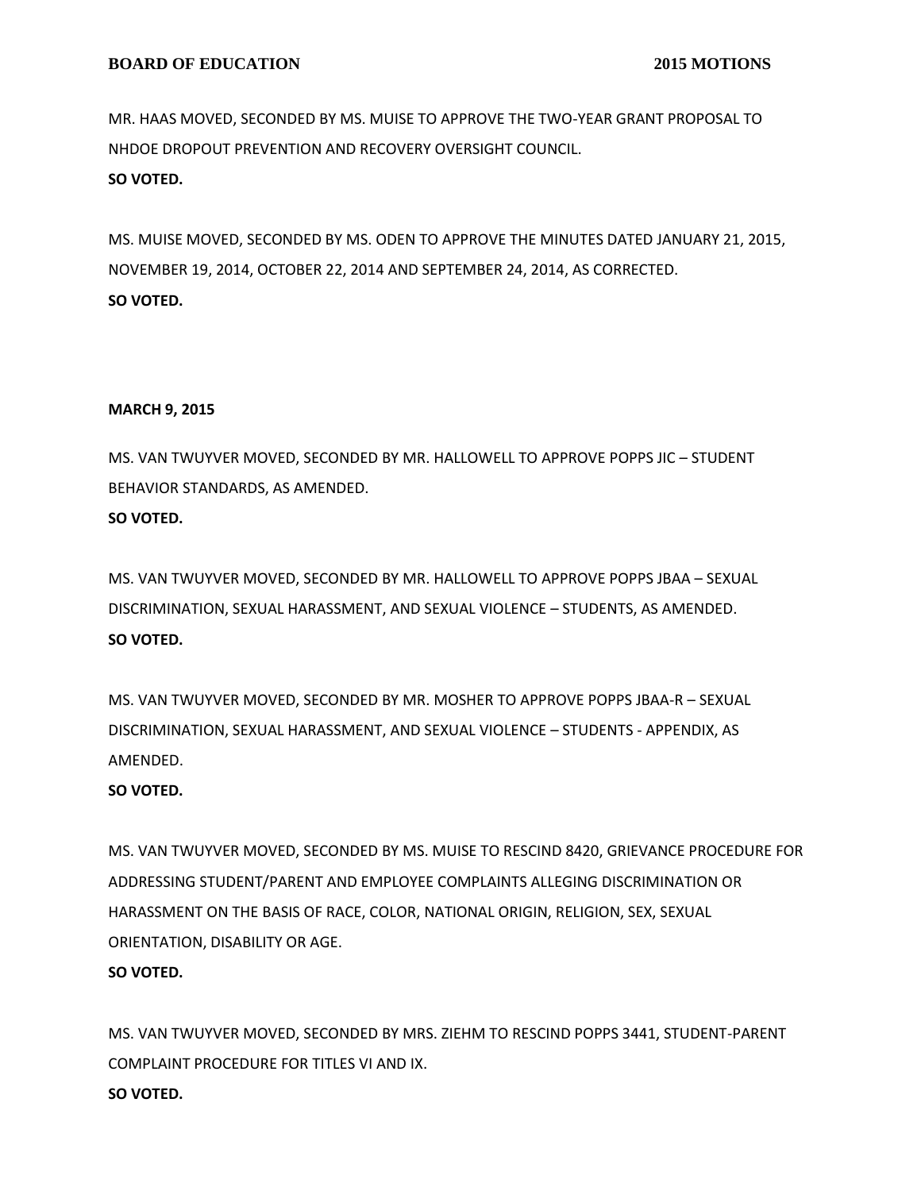MR. HAAS MOVED, SECONDED BY MS. MUISE TO APPROVE THE TWO-YEAR GRANT PROPOSAL TO NHDOE DROPOUT PREVENTION AND RECOVERY OVERSIGHT COUNCIL. **SO VOTED.**

MS. MUISE MOVED, SECONDED BY MS. ODEN TO APPROVE THE MINUTES DATED JANUARY 21, 2015, NOVEMBER 19, 2014, OCTOBER 22, 2014 AND SEPTEMBER 24, 2014, AS CORRECTED. **SO VOTED.**

## **MARCH 9, 2015**

MS. VAN TWUYVER MOVED, SECONDED BY MR. HALLOWELL TO APPROVE POPPS JIC – STUDENT BEHAVIOR STANDARDS, AS AMENDED.

## **SO VOTED.**

MS. VAN TWUYVER MOVED, SECONDED BY MR. HALLOWELL TO APPROVE POPPS JBAA – SEXUAL DISCRIMINATION, SEXUAL HARASSMENT, AND SEXUAL VIOLENCE – STUDENTS, AS AMENDED. **SO VOTED.**

MS. VAN TWUYVER MOVED, SECONDED BY MR. MOSHER TO APPROVE POPPS JBAA-R – SEXUAL DISCRIMINATION, SEXUAL HARASSMENT, AND SEXUAL VIOLENCE – STUDENTS - APPENDIX, AS AMENDED.

## **SO VOTED.**

MS. VAN TWUYVER MOVED, SECONDED BY MS. MUISE TO RESCIND 8420, GRIEVANCE PROCEDURE FOR ADDRESSING STUDENT/PARENT AND EMPLOYEE COMPLAINTS ALLEGING DISCRIMINATION OR HARASSMENT ON THE BASIS OF RACE, COLOR, NATIONAL ORIGIN, RELIGION, SEX, SEXUAL ORIENTATION, DISABILITY OR AGE.

## **SO VOTED.**

MS. VAN TWUYVER MOVED, SECONDED BY MRS. ZIEHM TO RESCIND POPPS 3441, STUDENT-PARENT COMPLAINT PROCEDURE FOR TITLES VI AND IX. **SO VOTED.**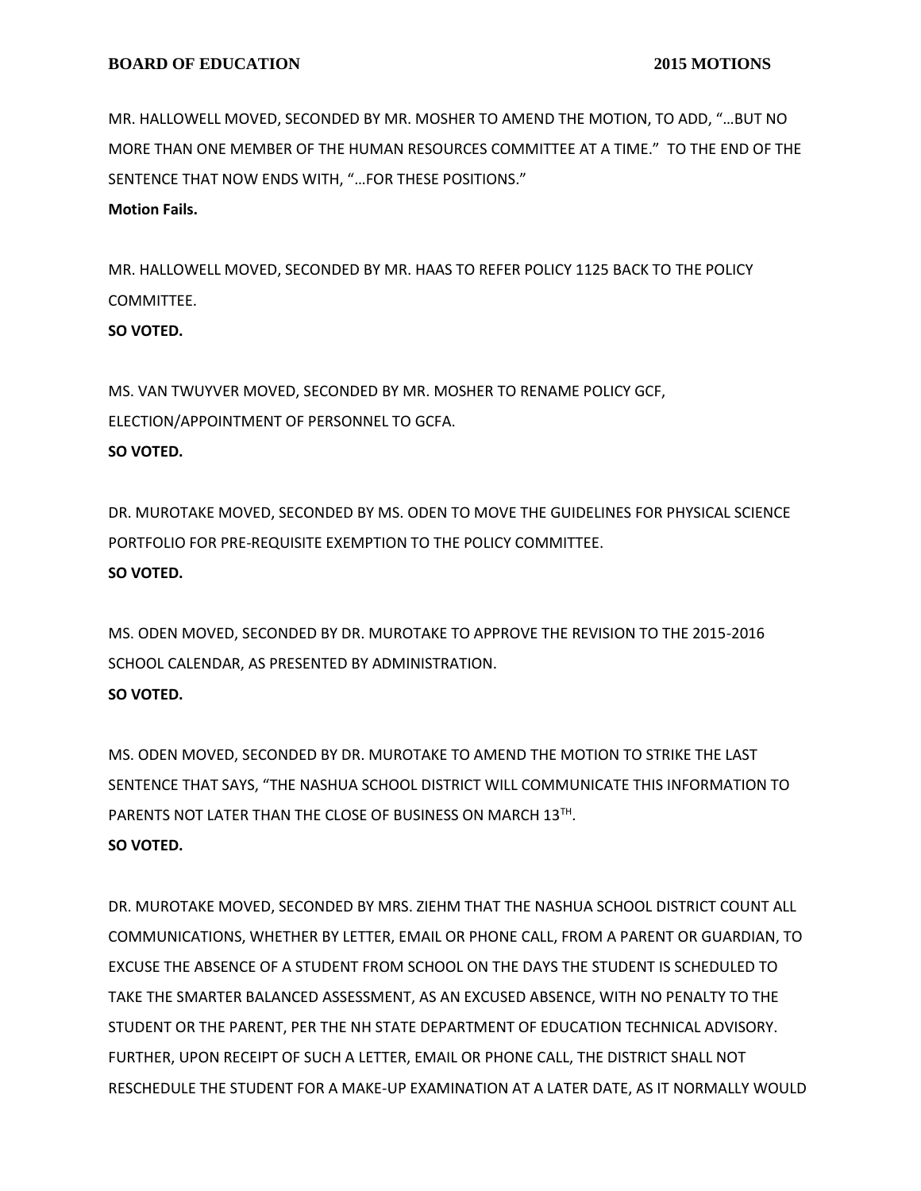MR. HALLOWELL MOVED, SECONDED BY MR. MOSHER TO AMEND THE MOTION, TO ADD, "…BUT NO MORE THAN ONE MEMBER OF THE HUMAN RESOURCES COMMITTEE AT A TIME." TO THE END OF THE SENTENCE THAT NOW ENDS WITH, "…FOR THESE POSITIONS."

**Motion Fails.**

MR. HALLOWELL MOVED, SECONDED BY MR. HAAS TO REFER POLICY 1125 BACK TO THE POLICY COMMITTEE.

### **SO VOTED.**

MS. VAN TWUYVER MOVED, SECONDED BY MR. MOSHER TO RENAME POLICY GCF, ELECTION/APPOINTMENT OF PERSONNEL TO GCFA. **SO VOTED.**

DR. MUROTAKE MOVED, SECONDED BY MS. ODEN TO MOVE THE GUIDELINES FOR PHYSICAL SCIENCE PORTFOLIO FOR PRE-REQUISITE EXEMPTION TO THE POLICY COMMITTEE. **SO VOTED.**

MS. ODEN MOVED, SECONDED BY DR. MUROTAKE TO APPROVE THE REVISION TO THE 2015-2016 SCHOOL CALENDAR, AS PRESENTED BY ADMINISTRATION. **SO VOTED.**

MS. ODEN MOVED, SECONDED BY DR. MUROTAKE TO AMEND THE MOTION TO STRIKE THE LAST SENTENCE THAT SAYS, "THE NASHUA SCHOOL DISTRICT WILL COMMUNICATE THIS INFORMATION TO PARENTS NOT LATER THAN THE CLOSE OF BUSINESS ON MARCH 13TH. **SO VOTED.**

DR. MUROTAKE MOVED, SECONDED BY MRS. ZIEHM THAT THE NASHUA SCHOOL DISTRICT COUNT ALL COMMUNICATIONS, WHETHER BY LETTER, EMAIL OR PHONE CALL, FROM A PARENT OR GUARDIAN, TO EXCUSE THE ABSENCE OF A STUDENT FROM SCHOOL ON THE DAYS THE STUDENT IS SCHEDULED TO TAKE THE SMARTER BALANCED ASSESSMENT, AS AN EXCUSED ABSENCE, WITH NO PENALTY TO THE STUDENT OR THE PARENT, PER THE NH STATE DEPARTMENT OF EDUCATION TECHNICAL ADVISORY. FURTHER, UPON RECEIPT OF SUCH A LETTER, EMAIL OR PHONE CALL, THE DISTRICT SHALL NOT RESCHEDULE THE STUDENT FOR A MAKE-UP EXAMINATION AT A LATER DATE, AS IT NORMALLY WOULD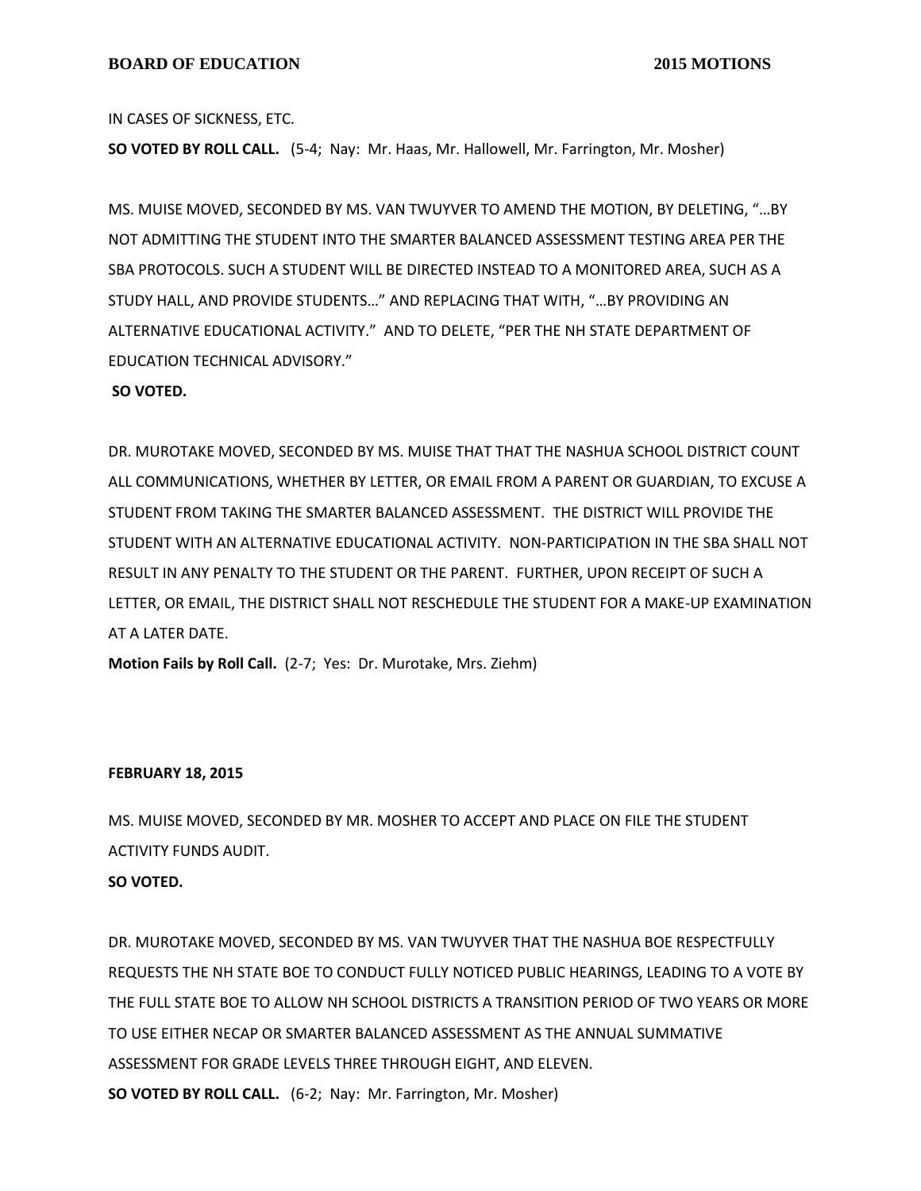IN CASES OF SICKNESS, ETC.

**SO VOTED BY ROLL CALL.** (5-4; Nay: Mr. Haas, Mr. Hallowell, Mr. Farrington, Mr. Mosher)

MS. MUISE MOVED, SECONDED BY MS. VAN TWUYVER TO AMEND THE MOTION, BY DELETING, "…BY NOT ADMITTING THE STUDENT INTO THE SMARTER BALANCED ASSESSMENT TESTING AREA PER THE SBA PROTOCOLS. SUCH A STUDENT WILL BE DIRECTED INSTEAD TO A MONITORED AREA, SUCH AS A STUDY HALL, AND PROVIDE STUDENTS…" AND REPLACING THAT WITH, "…BY PROVIDING AN ALTERNATIVE EDUCATIONAL ACTIVITY." AND TO DELETE, "PER THE NH STATE DEPARTMENT OF EDUCATION TECHNICAL ADVISORY."

#### **SO VOTED.**

DR. MUROTAKE MOVED, SECONDED BY MS. MUISE THAT THAT THE NASHUA SCHOOL DISTRICT COUNT ALL COMMUNICATIONS, WHETHER BY LETTER, OR EMAIL FROM A PARENT OR GUARDIAN, TO EXCUSE A STUDENT FROM TAKING THE SMARTER BALANCED ASSESSMENT. THE DISTRICT WILL PROVIDE THE STUDENT WITH AN ALTERNATIVE EDUCATIONAL ACTIVITY. NON-PARTICIPATION IN THE SBA SHALL NOT RESULT IN ANY PENALTY TO THE STUDENT OR THE PARENT. FURTHER, UPON RECEIPT OF SUCH A LETTER, OR EMAIL, THE DISTRICT SHALL NOT RESCHEDULE THE STUDENT FOR A MAKE-UP EXAMINATION AT A LATER DATE.

**Motion Fails by Roll Call.** (2-7; Yes: Dr. Murotake, Mrs. Ziehm)

#### **FEBRUARY 18, 2015**

MS. MUISE MOVED, SECONDED BY MR. MOSHER TO ACCEPT AND PLACE ON FILE THE STUDENT ACTIVITY FUNDS AUDIT.

#### **SO VOTED.**

DR. MUROTAKE MOVED, SECONDED BY MS. VAN TWUYVER THAT THE NASHUA BOE RESPECTFULLY REQUESTS THE NH STATE BOE TO CONDUCT FULLY NOTICED PUBLIC HEARINGS, LEADING TO A VOTE BY THE FULL STATE BOE TO ALLOW NH SCHOOL DISTRICTS A TRANSITION PERIOD OF TWO YEARS OR MORE TO USE EITHER NECAP OR SMARTER BALANCED ASSESSMENT AS THE ANNUAL SUMMATIVE ASSESSMENT FOR GRADE LEVELS THREE THROUGH EIGHT, AND ELEVEN. **SO VOTED BY ROLL CALL.** (6-2; Nay: Mr. Farrington, Mr. Mosher)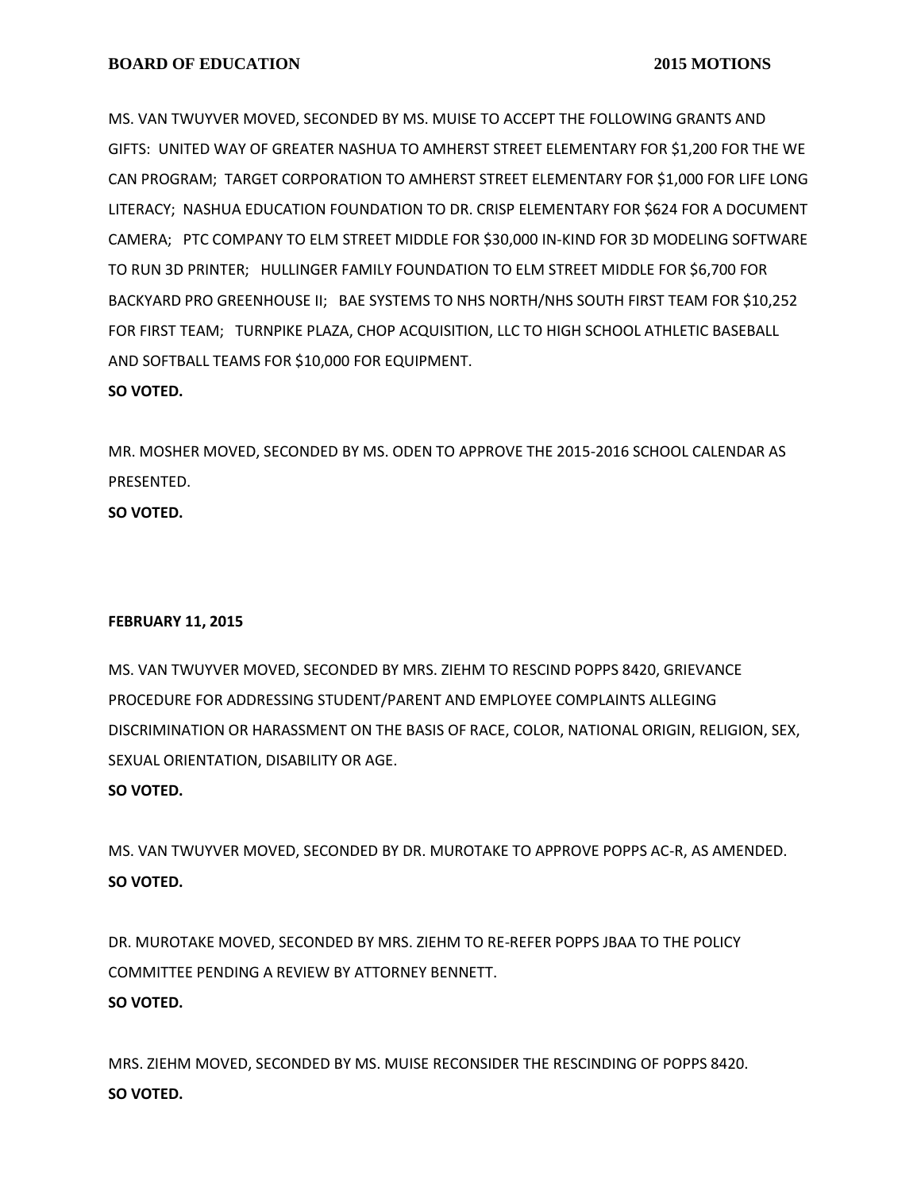MS. VAN TWUYVER MOVED, SECONDED BY MS. MUISE TO ACCEPT THE FOLLOWING GRANTS AND GIFTS: UNITED WAY OF GREATER NASHUA TO AMHERST STREET ELEMENTARY FOR \$1,200 FOR THE WE CAN PROGRAM; TARGET CORPORATION TO AMHERST STREET ELEMENTARY FOR \$1,000 FOR LIFE LONG LITERACY; NASHUA EDUCATION FOUNDATION TO DR. CRISP ELEMENTARY FOR \$624 FOR A DOCUMENT CAMERA; PTC COMPANY TO ELM STREET MIDDLE FOR \$30,000 IN-KIND FOR 3D MODELING SOFTWARE TO RUN 3D PRINTER; HULLINGER FAMILY FOUNDATION TO ELM STREET MIDDLE FOR \$6,700 FOR BACKYARD PRO GREENHOUSE II; BAE SYSTEMS TO NHS NORTH/NHS SOUTH FIRST TEAM FOR \$10,252 FOR FIRST TEAM; TURNPIKE PLAZA, CHOP ACQUISITION, LLC TO HIGH SCHOOL ATHLETIC BASEBALL AND SOFTBALL TEAMS FOR \$10,000 FOR EQUIPMENT.

## **SO VOTED.**

MR. MOSHER MOVED, SECONDED BY MS. ODEN TO APPROVE THE 2015-2016 SCHOOL CALENDAR AS PRESENTED.

**SO VOTED.**

## **FEBRUARY 11, 2015**

MS. VAN TWUYVER MOVED, SECONDED BY MRS. ZIEHM TO RESCIND POPPS 8420, GRIEVANCE PROCEDURE FOR ADDRESSING STUDENT/PARENT AND EMPLOYEE COMPLAINTS ALLEGING DISCRIMINATION OR HARASSMENT ON THE BASIS OF RACE, COLOR, NATIONAL ORIGIN, RELIGION, SEX, SEXUAL ORIENTATION, DISABILITY OR AGE.

## **SO VOTED.**

MS. VAN TWUYVER MOVED, SECONDED BY DR. MUROTAKE TO APPROVE POPPS AC-R, AS AMENDED. **SO VOTED.**

DR. MUROTAKE MOVED, SECONDED BY MRS. ZIEHM TO RE-REFER POPPS JBAA TO THE POLICY COMMITTEE PENDING A REVIEW BY ATTORNEY BENNETT. **SO VOTED.**

MRS. ZIEHM MOVED, SECONDED BY MS. MUISE RECONSIDER THE RESCINDING OF POPPS 8420. **SO VOTED.**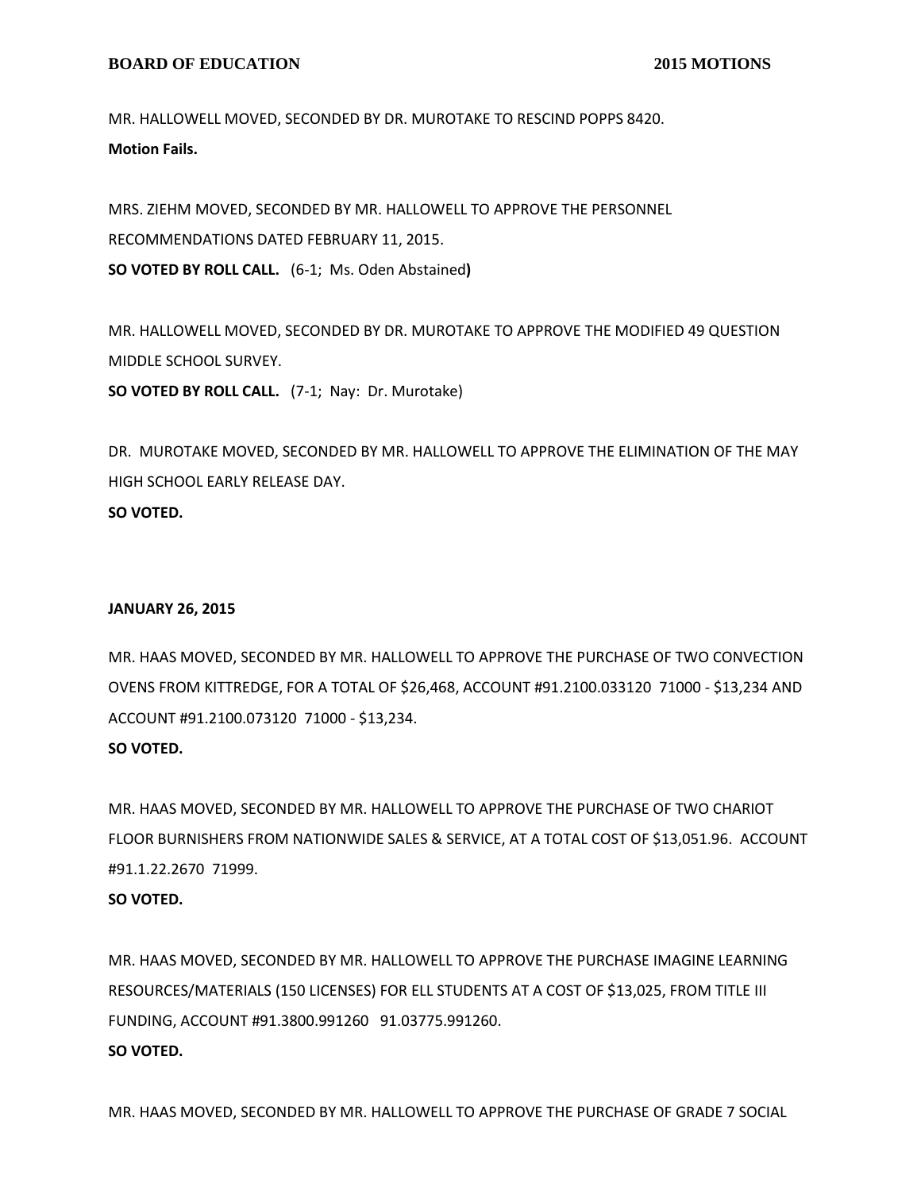#### **BOARD OF EDUCATION** 2015 MOTIONS

MR. HALLOWELL MOVED, SECONDED BY DR. MUROTAKE TO RESCIND POPPS 8420. **Motion Fails.**

MRS. ZIEHM MOVED, SECONDED BY MR. HALLOWELL TO APPROVE THE PERSONNEL RECOMMENDATIONS DATED FEBRUARY 11, 2015. **SO VOTED BY ROLL CALL.** (6-1; Ms. Oden Abstained**)**

MR. HALLOWELL MOVED, SECONDED BY DR. MUROTAKE TO APPROVE THE MODIFIED 49 QUESTION MIDDLE SCHOOL SURVEY.

**SO VOTED BY ROLL CALL.** (7-1; Nay: Dr. Murotake)

DR. MUROTAKE MOVED, SECONDED BY MR. HALLOWELL TO APPROVE THE ELIMINATION OF THE MAY HIGH SCHOOL EARLY RELEASE DAY. **SO VOTED.**

#### **JANUARY 26, 2015**

MR. HAAS MOVED, SECONDED BY MR. HALLOWELL TO APPROVE THE PURCHASE OF TWO CONVECTION OVENS FROM KITTREDGE, FOR A TOTAL OF \$26,468, ACCOUNT #91.2100.033120 71000 - \$13,234 AND ACCOUNT #91.2100.073120 71000 - \$13,234.

#### **SO VOTED.**

MR. HAAS MOVED, SECONDED BY MR. HALLOWELL TO APPROVE THE PURCHASE OF TWO CHARIOT FLOOR BURNISHERS FROM NATIONWIDE SALES & SERVICE, AT A TOTAL COST OF \$13,051.96. ACCOUNT #91.1.22.2670 71999.

## **SO VOTED.**

MR. HAAS MOVED, SECONDED BY MR. HALLOWELL TO APPROVE THE PURCHASE IMAGINE LEARNING RESOURCES/MATERIALS (150 LICENSES) FOR ELL STUDENTS AT A COST OF \$13,025, FROM TITLE III FUNDING, ACCOUNT #91.3800.991260 91.03775.991260. **SO VOTED.**

MR. HAAS MOVED, SECONDED BY MR. HALLOWELL TO APPROVE THE PURCHASE OF GRADE 7 SOCIAL